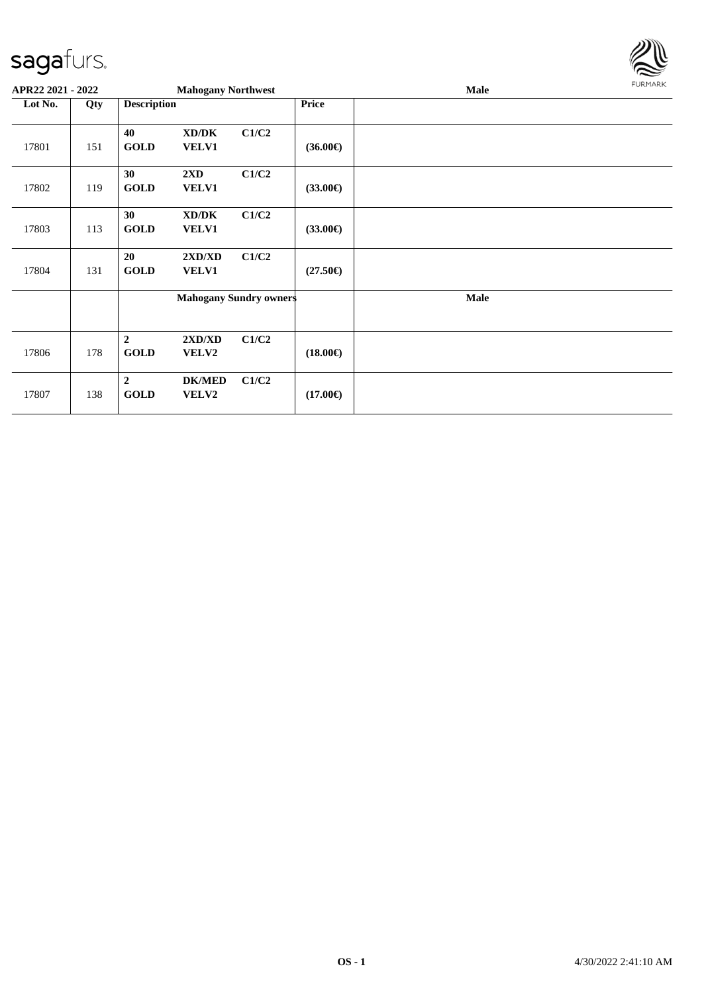

|         | APR22 2021 - 2022 |                               | <b>Mahogany Northwest</b> |                               |                   | <b>Male</b> | <b>FURMARK</b> |
|---------|-------------------|-------------------------------|---------------------------|-------------------------------|-------------------|-------------|----------------|
| Lot No. | Qty               | <b>Description</b>            |                           |                               | Price             |             |                |
| 17801   | 151               | 40<br><b>GOLD</b>             | XD/DK<br>VELV1            | C1/C2                         | $(36.00\epsilon)$ |             |                |
| 17802   | 119               | 30<br><b>GOLD</b>             | 2XD<br><b>VELV1</b>       | C1/C2                         | $(33.00\epsilon)$ |             |                |
| 17803   | 113               | 30<br><b>GOLD</b>             | XD/DK<br>VELV1            | C1/C2                         | $(33.00\epsilon)$ |             |                |
| 17804   | 131               | 20<br><b>GOLD</b>             | 2XD/XD<br>VELV1           | C1/C2                         | $(27.50\epsilon)$ |             |                |
|         |                   |                               |                           | <b>Mahogany Sundry owners</b> |                   | <b>Male</b> |                |
| 17806   | 178               | $\overline{2}$<br><b>GOLD</b> | 2XD/XD<br><b>VELV2</b>    | C1/C2                         | $(18.00\epsilon)$ |             |                |
| 17807   | 138               | $\overline{2}$<br><b>GOLD</b> | <b>DK/MED</b><br>VELV2    | C1/C2                         | $(17.00\epsilon)$ |             |                |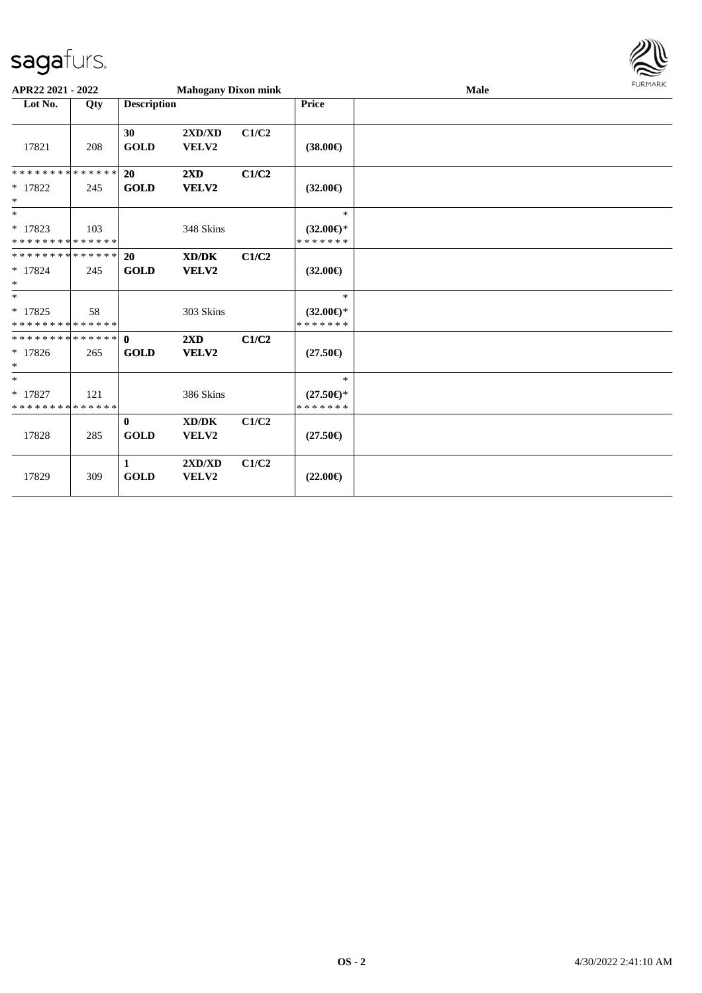

| APR22 2021 - 2022                                 |     |                             | <b>Mahogany Dixon mink</b>       |       |                                                | Male | <b>FURMARK</b> |
|---------------------------------------------------|-----|-----------------------------|----------------------------------|-------|------------------------------------------------|------|----------------|
| Lot No.                                           | Qty | <b>Description</b>          |                                  |       | <b>Price</b>                                   |      |                |
| 17821                                             | 208 | 30<br><b>GOLD</b>           | 2XD/XD<br>VELV2                  | C1/C2 | $(38.00\epsilon)$                              |      |                |
| * * * * * * * * * * * * * * *<br>$*$ 17822<br>$*$ | 245 | 20<br><b>GOLD</b>           | $2\mathbf{X}\mathbf{D}$<br>VELV2 | C1/C2 | $(32.00\epsilon)$                              |      |                |
| $*$<br>$*17823$<br>* * * * * * * * * * * * * *    | 103 |                             | 348 Skins                        |       | $\ast$<br>$(32.00 \in )$ *<br>* * * * * * *    |      |                |
| * * * * * * * * * * * * * * *<br>$* 17824$<br>$*$ | 245 | 20<br><b>GOLD</b>           | XD/DK<br>VELV2                   | C1/C2 | $(32.00\epsilon)$                              |      |                |
| $*$<br>$* 17825$<br>* * * * * * * * * * * * * *   | 58  |                             | 303 Skins                        |       | $\ast$<br>$(32.00\epsilon)$ *<br>* * * * * * * |      |                |
| $*17826$<br>$\ast$                                | 265 | <b>GOLD</b>                 | $2\mathbf{X}\mathbf{D}$<br>VELV2 | C1/C2 | $(27.50\epsilon)$                              |      |                |
| $*$<br>$*$ 17827<br>* * * * * * * * * * * * * *   | 121 |                             | 386 Skins                        |       | $\ast$<br>$(27.50\epsilon)$ *<br>* * * * * * * |      |                |
| 17828                                             | 285 | $\mathbf{0}$<br><b>GOLD</b> | XD/DK<br>VELV2                   | C1/C2 | $(27.50\epsilon)$                              |      |                |
| 17829                                             | 309 | 1<br><b>GOLD</b>            | 2XD/XD<br>VELV2                  | C1/C2 | $(22.00\epsilon)$                              |      |                |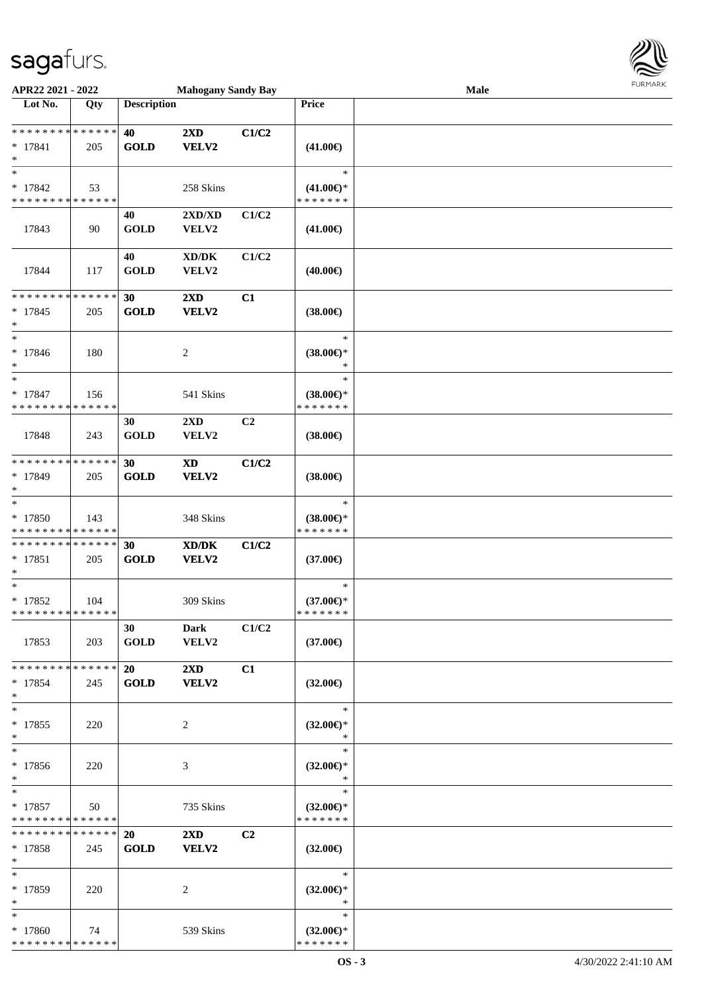

| APR22 2021 - 2022           |     |                    | <b>Mahogany Sandy Bay</b>  |                |                            | <b>Male</b> |  |
|-----------------------------|-----|--------------------|----------------------------|----------------|----------------------------|-------------|--|
| Lot No.                     | Qty | <b>Description</b> |                            |                | Price                      |             |  |
|                             |     |                    |                            |                |                            |             |  |
| **************              |     | 40                 | $2\mathbf{X}\mathbf{D}$    | C1/C2          |                            |             |  |
| $* 17841$                   | 205 | <b>GOLD</b>        | VELV2                      |                | $(41.00\epsilon)$          |             |  |
| $\ast$                      |     |                    |                            |                |                            |             |  |
| $\ast$                      |     |                    |                            |                | $\ast$                     |             |  |
| * 17842                     | 53  |                    | 258 Skins                  |                | $(41.00\epsilon)$ *        |             |  |
| * * * * * * * * * * * * * * |     |                    |                            |                | * * * * * * *              |             |  |
|                             |     | 40                 | 2XD/XD                     | C1/C2          |                            |             |  |
| 17843                       | 90  | <b>GOLD</b>        | VELV2                      |                | $(41.00\epsilon)$          |             |  |
|                             |     |                    |                            |                |                            |             |  |
|                             |     | 40                 | XD/DK                      | C1/C2          |                            |             |  |
| 17844                       | 117 | <b>GOLD</b>        | VELV2                      |                | $(40.00\epsilon)$          |             |  |
|                             |     |                    |                            |                |                            |             |  |
| * * * * * * * * * * * * * * |     |                    |                            | C1             |                            |             |  |
|                             |     | 30                 | $2\mathbf{X}\mathbf{D}$    |                |                            |             |  |
| $* 17845$                   | 205 | <b>GOLD</b>        | VELV2                      |                | $(38.00\epsilon)$          |             |  |
| $\ast$<br>$\ast$            |     |                    |                            |                |                            |             |  |
|                             |     |                    |                            |                | $\ast$                     |             |  |
| $* 17846$                   | 180 |                    | 2                          |                | $(38.00\epsilon)$ *        |             |  |
| $\ast$                      |     |                    |                            |                | $\ast$                     |             |  |
| $\ast$                      |     |                    |                            |                | $\ast$                     |             |  |
| $* 17847$                   | 156 |                    | 541 Skins                  |                | $(38.00\epsilon)$ *        |             |  |
| * * * * * * * * * * * * * * |     |                    |                            |                | * * * * * * *              |             |  |
|                             |     | 30                 | 2XD                        | C <sub>2</sub> |                            |             |  |
| 17848                       | 243 | <b>GOLD</b>        | VELV2                      |                | $(38.00\epsilon)$          |             |  |
|                             |     |                    |                            |                |                            |             |  |
| * * * * * * * * * * * * * * |     | 30                 | $\boldsymbol{\mathrm{XD}}$ | C1/C2          |                            |             |  |
| * 17849                     | 205 | <b>GOLD</b>        | VELV2                      |                | $(38.00\in)$               |             |  |
| $\ast$                      |     |                    |                            |                |                            |             |  |
| $\ast$                      |     |                    |                            |                | $\ast$                     |             |  |
| * 17850                     | 143 |                    | 348 Skins                  |                | $(38.00\epsilon)$ *        |             |  |
| * * * * * * * * * * * * * * |     |                    |                            |                | * * * * * * *              |             |  |
| **************              |     | 30                 | XD/DK                      | C1/C2          |                            |             |  |
| $* 17851$                   | 205 | <b>GOLD</b>        | VELV2                      |                | $(37.00\epsilon)$          |             |  |
| $\ast$                      |     |                    |                            |                |                            |             |  |
| $\ast$                      |     |                    |                            |                | $\ast$                     |             |  |
| $* 17852$                   | 104 |                    | 309 Skins                  |                | $(37.00\epsilon)$ *        |             |  |
| **************              |     |                    |                            |                | * * * * * * *              |             |  |
|                             |     | 30                 | Dark                       | C1/C2          |                            |             |  |
| 17853                       | 203 | <b>GOLD</b>        | VELV2                      |                | $(37.00\epsilon)$          |             |  |
|                             |     |                    |                            |                |                            |             |  |
| * * * * * * * * * * * * * * |     | 20                 | 2XD                        | C1             |                            |             |  |
| $* 17854$                   | 245 | <b>GOLD</b>        | VELV2                      |                | $(32.00\epsilon)$          |             |  |
| $\ast$                      |     |                    |                            |                |                            |             |  |
| $\ast$                      |     |                    |                            |                | $\ast$                     |             |  |
|                             |     |                    |                            |                |                            |             |  |
| $* 17855$                   | 220 |                    | 2                          |                | $(32.00 \in )^*$<br>$\ast$ |             |  |
| $\ast$<br>$\ast$            |     |                    |                            |                | $\ast$                     |             |  |
|                             |     |                    |                            |                |                            |             |  |
| * 17856                     | 220 |                    | 3                          |                | $(32.00\epsilon)$ *        |             |  |
| $*$                         |     |                    |                            |                | $\ast$                     |             |  |
| $\ast$                      |     |                    |                            |                | $\ast$                     |             |  |
| $* 17857$                   | 50  |                    | 735 Skins                  |                | $(32.00\epsilon)$ *        |             |  |
| * * * * * * * * * * * * * * |     |                    |                            |                | * * * * * * *              |             |  |
| * * * * * * * * * * * * * * |     | <b>20</b>          | $2\mathbf{X}\mathbf{D}$    | C <sub>2</sub> |                            |             |  |
| $*17858$                    | 245 | <b>GOLD</b>        | <b>VELV2</b>               |                | $(32.00\epsilon)$          |             |  |
| $*$                         |     |                    |                            |                |                            |             |  |
| $\ast$                      |     |                    |                            |                | $\ast$                     |             |  |
| * 17859                     | 220 |                    | 2                          |                | $(32.00\epsilon)$ *        |             |  |
| $\ast$                      |     |                    |                            |                | ∗                          |             |  |
| $\ast$                      |     |                    |                            |                | $\ast$                     |             |  |
| * 17860                     | 74  |                    | 539 Skins                  |                | $(32.00\epsilon)$ *        |             |  |
| * * * * * * * * * * * * * * |     |                    |                            |                | * * * * * * *              |             |  |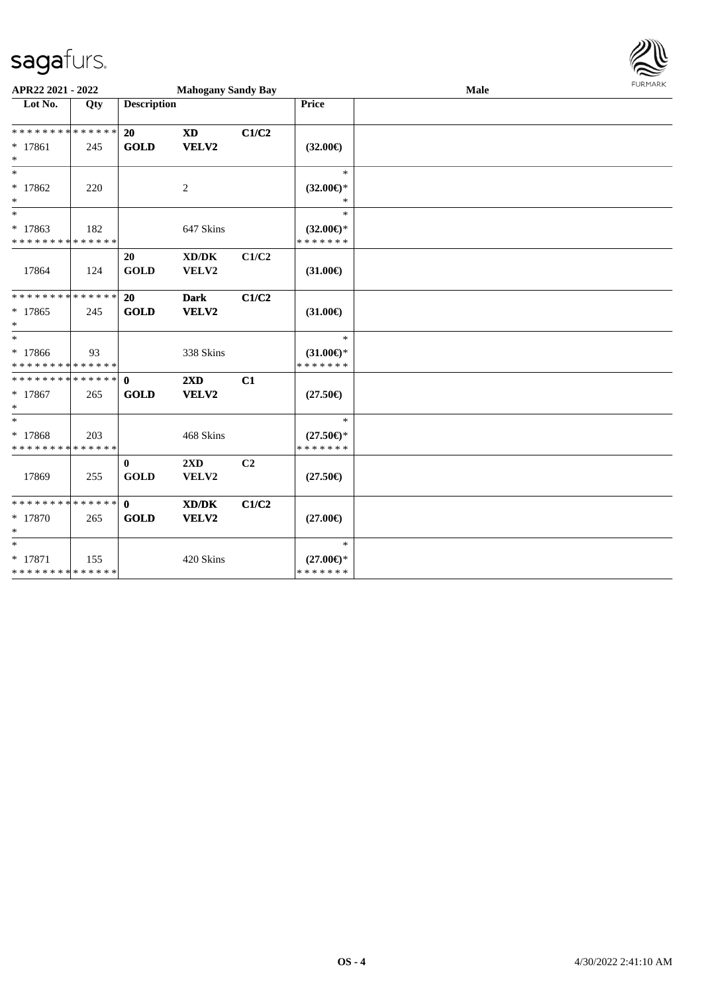

| APR22 2021 - 2022                        |     |                         | <b>Mahogany Sandy Bay</b> |                |                                         | Male | <b>FURMARK</b> |
|------------------------------------------|-----|-------------------------|---------------------------|----------------|-----------------------------------------|------|----------------|
| Lot No.                                  | Qty | <b>Description</b>      |                           |                | <b>Price</b>                            |      |                |
| * * * * * * * * * * * * * * *            |     | 20                      | <b>XD</b>                 | C1/C2          |                                         |      |                |
| * 17861<br>$*$                           | 245 | <b>GOLD</b>             | VELV2                     |                | $(32.00\epsilon)$                       |      |                |
| $\ast$<br>* 17862<br>$*$                 | 220 |                         | 2                         |                | $\ast$<br>$(32.00\epsilon)$ *<br>$\ast$ |      |                |
| $\ast$                                   |     |                         |                           |                | $\ast$                                  |      |                |
| * 17863<br>* * * * * * * * * * * * * *   | 182 |                         | 647 Skins                 |                | $(32.00\epsilon)$ *<br>* * * * * * *    |      |                |
| 17864                                    | 124 | 20<br><b>GOLD</b>       | XD/DK<br>VELV2            | C1/C2          | $(31.00\epsilon)$                       |      |                |
| * * * * * * * * * * * * * * *            |     | <b>20</b>               | Dark                      | C1/C2          |                                         |      |                |
| * 17865<br>$*$                           | 245 | <b>GOLD</b>             | VELV2                     |                | $(31.00\epsilon)$                       |      |                |
| $*$                                      |     |                         |                           |                | $\ast$                                  |      |                |
| * 17866<br>* * * * * * * * * * * * * *   | 93  |                         | 338 Skins                 |                | $(31.00\epsilon)$ *<br>*******          |      |                |
| * * * * * * * * * * * * * * *            |     | $\mathbf{0}$            | 2XD                       | C1             |                                         |      |                |
| * 17867<br>$*$                           | 265 | <b>GOLD</b>             | VELV2                     |                | $(27.50\epsilon)$                       |      |                |
| $*$                                      |     |                         |                           |                | $\ast$                                  |      |                |
| * 17868<br>* * * * * * * * * * * * * *   | 203 |                         | 468 Skins                 |                | $(27.50\epsilon)$ *<br>* * * * * * *    |      |                |
| 17869                                    | 255 | $\bf{0}$<br><b>GOLD</b> | 2XD<br>VELV2              | C <sub>2</sub> | $(27.50\epsilon)$                       |      |                |
| * * * * * * * * * * * * * *              |     | 0                       | XD/DK                     | C1/C2          |                                         |      |                |
| $*17870$<br>$*$                          | 265 | <b>GOLD</b>             | VELV2                     |                | $(27.00\epsilon)$                       |      |                |
| $*$                                      |     |                         |                           |                | $\ast$                                  |      |                |
| $* 17871$<br>* * * * * * * * * * * * * * | 155 |                         | 420 Skins                 |                | $(27.00\epsilon)$ *<br>*******          |      |                |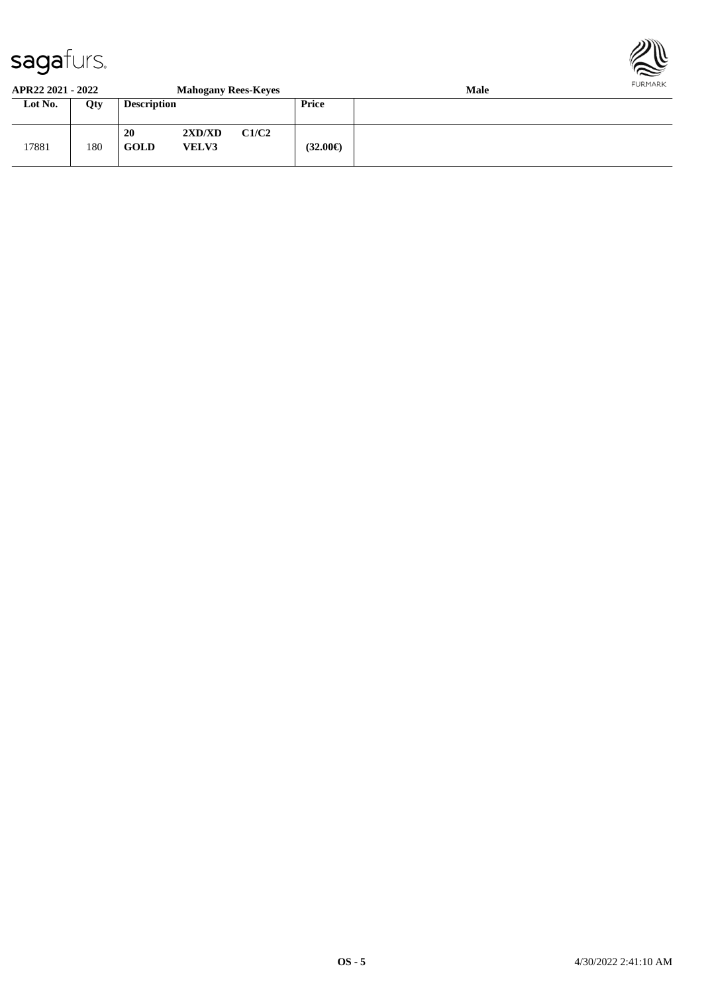

#### **APR22 2021 - 2022 Mahogany Rees-Keyes Male**

| Lot No. | Qty | <b>Description</b> | $\bullet$              |       | <b>Price</b>      |  |
|---------|-----|--------------------|------------------------|-------|-------------------|--|
| 17881   | 180 | 20<br><b>GOLD</b>  | 2XD/XD<br><b>VELV3</b> | C1/C2 | $(32.00\epsilon)$ |  |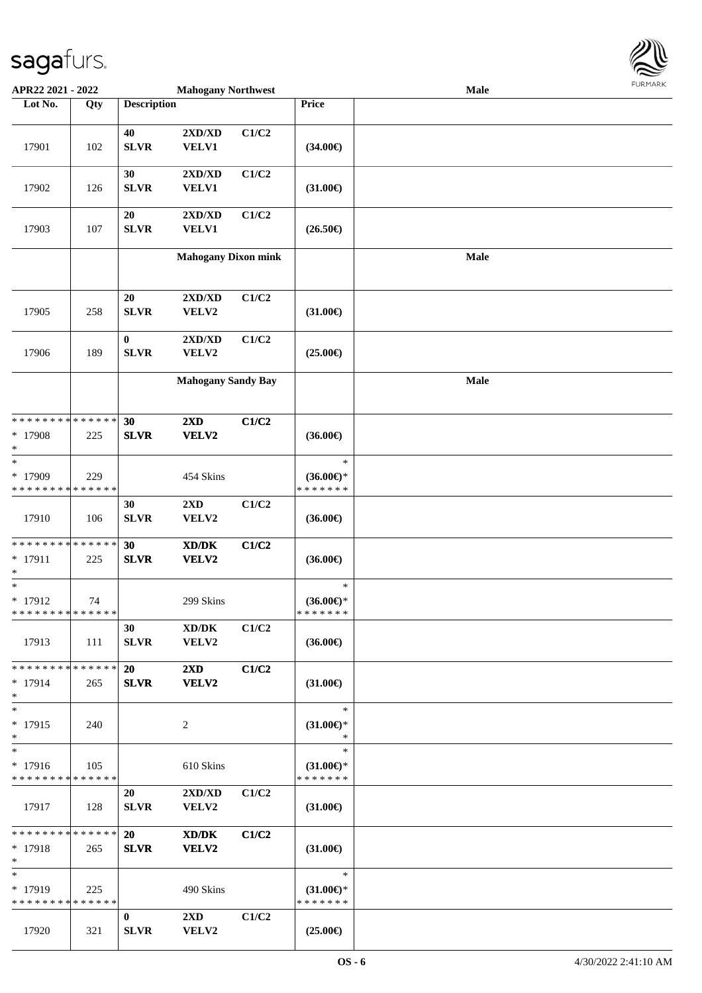

| APR22 2021 - 2022                          |             |                    | <b>Mahogany Northwest</b>  |       |                     | Male |  |
|--------------------------------------------|-------------|--------------------|----------------------------|-------|---------------------|------|--|
| Lot No.                                    | Qty         | <b>Description</b> |                            |       | <b>Price</b>        |      |  |
|                                            |             |                    |                            |       |                     |      |  |
|                                            |             | 40                 | 2XD/XD                     | C1/C2 |                     |      |  |
| 17901                                      | 102         | <b>SLVR</b>        | <b>VELV1</b>               |       | $(34.00\epsilon)$   |      |  |
|                                            |             |                    |                            |       |                     |      |  |
|                                            |             | 30                 | 2XD/XD                     | C1/C2 |                     |      |  |
| 17902                                      | 126         | <b>SLVR</b>        | <b>VELV1</b>               |       | $(31.00\epsilon)$   |      |  |
|                                            |             |                    |                            |       |                     |      |  |
|                                            |             | 20                 | 2XD/XD                     | C1/C2 |                     |      |  |
| 17903                                      | 107         | <b>SLVR</b>        | <b>VELV1</b>               |       | $(26.50\epsilon)$   |      |  |
|                                            |             |                    |                            |       |                     |      |  |
|                                            |             |                    | <b>Mahogany Dixon mink</b> |       |                     | Male |  |
|                                            |             |                    |                            |       |                     |      |  |
|                                            |             |                    |                            |       |                     |      |  |
|                                            |             | 20                 | 2XD/XD                     | C1/C2 |                     |      |  |
| 17905                                      | 258         | <b>SLVR</b>        | VELV2                      |       | $(31.00\epsilon)$   |      |  |
|                                            |             |                    |                            |       |                     |      |  |
|                                            |             | $\bf{0}$           | 2XD/XD                     | C1/C2 |                     |      |  |
| 17906                                      | 189         | <b>SLVR</b>        | VELV2                      |       | $(25.00\epsilon)$   |      |  |
|                                            |             |                    |                            |       |                     |      |  |
|                                            |             |                    | <b>Mahogany Sandy Bay</b>  |       |                     | Male |  |
|                                            |             |                    |                            |       |                     |      |  |
|                                            |             |                    |                            |       |                     |      |  |
| * * * * * * * * * * * * * * *              |             | 30                 | $2\mathbf{X}\mathbf{D}$    | C1/C2 |                     |      |  |
| * 17908                                    | 225         | <b>SLVR</b>        | VELV2                      |       | $(36.00\epsilon)$   |      |  |
| $\ast$                                     |             |                    |                            |       |                     |      |  |
| $\ast$                                     |             |                    |                            |       | $\ast$              |      |  |
| * 17909                                    | 229         |                    | 454 Skins                  |       | $(36.00\epsilon)$ * |      |  |
| * * * * * * * *                            | * * * * * * |                    |                            |       | * * * * * * *       |      |  |
|                                            |             | 30                 | $2{\bf X}{\bf D}$          | C1/C2 |                     |      |  |
| 17910                                      | 106         | <b>SLVR</b>        | VELV2                      |       | $(36.00\epsilon)$   |      |  |
|                                            |             |                    |                            |       |                     |      |  |
| * * * * * * * * * * * * * *                |             | 30                 | XD/DK                      | C1/C2 |                     |      |  |
| $* 17911$                                  | 225         | <b>SLVR</b>        | VELV2                      |       | $(36.00\epsilon)$   |      |  |
| *                                          |             |                    |                            |       |                     |      |  |
| $\ast$                                     |             |                    |                            |       | $\ast$              |      |  |
| * 17912                                    | 74          |                    | 299 Skins                  |       | $(36.00\epsilon)$ * |      |  |
| * * * * * * * * <mark>* * * * * * *</mark> |             |                    |                            |       | * * * * * * *       |      |  |
|                                            |             | 30                 | XD/DK                      | C1/C2 |                     |      |  |
| 17913                                      | 111         | <b>SLVR</b>        | VELV2                      |       | $(36.00\epsilon)$   |      |  |
|                                            |             |                    |                            |       |                     |      |  |
| * * * * * * * * <mark>* * * * * *</mark> * |             | 20                 | $2\mathbf{X}\mathbf{D}$    | C1/C2 |                     |      |  |
| $* 17914$                                  | 265         | <b>SLVR</b>        | VELV2                      |       | $(31.00\epsilon)$   |      |  |
| $*$                                        |             |                    |                            |       |                     |      |  |
| $*$                                        |             |                    |                            |       | $\ast$              |      |  |
| $* 17915$                                  | 240         |                    | 2                          |       | $(31.00\epsilon)$ * |      |  |
| $\ast$                                     |             |                    |                            |       | $\ast$              |      |  |
| $\overline{\ast}$                          |             |                    |                            |       | $\ast$              |      |  |
| $* 17916$                                  | 105         |                    | 610 Skins                  |       | $(31.00\epsilon)$ * |      |  |
| * * * * * * * * * * * * * *                |             |                    |                            |       | * * * * * * *       |      |  |
|                                            |             | 20                 | 2XD/XD                     | C1/C2 |                     |      |  |
| 17917                                      | 128         | <b>SLVR</b>        | <b>VELV2</b>               |       | $(31.00\epsilon)$   |      |  |
|                                            |             |                    |                            |       |                     |      |  |
| ******** <mark>******</mark>               |             | <b>20</b>          | XD/DK                      | C1/C2 |                     |      |  |
| $* 17918$                                  | 265         | <b>SLVR</b>        | <b>VELV2</b>               |       | $(31.00\epsilon)$   |      |  |
| $*$                                        |             |                    |                            |       |                     |      |  |
| $\ast$                                     |             |                    |                            |       | $\ast$              |      |  |
| $*17919$                                   | 225         |                    | 490 Skins                  |       | $(31.00\epsilon)$ * |      |  |
| * * * * * * * * * * * * * * *              |             |                    |                            |       | * * * * * * *       |      |  |
|                                            |             | $\bf{0}$           | $2\mathbf{X}\mathbf{D}$    | C1/C2 |                     |      |  |
| 17920                                      | 321         | <b>SLVR</b>        | VELV2                      |       | $(25.00\epsilon)$   |      |  |
|                                            |             |                    |                            |       |                     |      |  |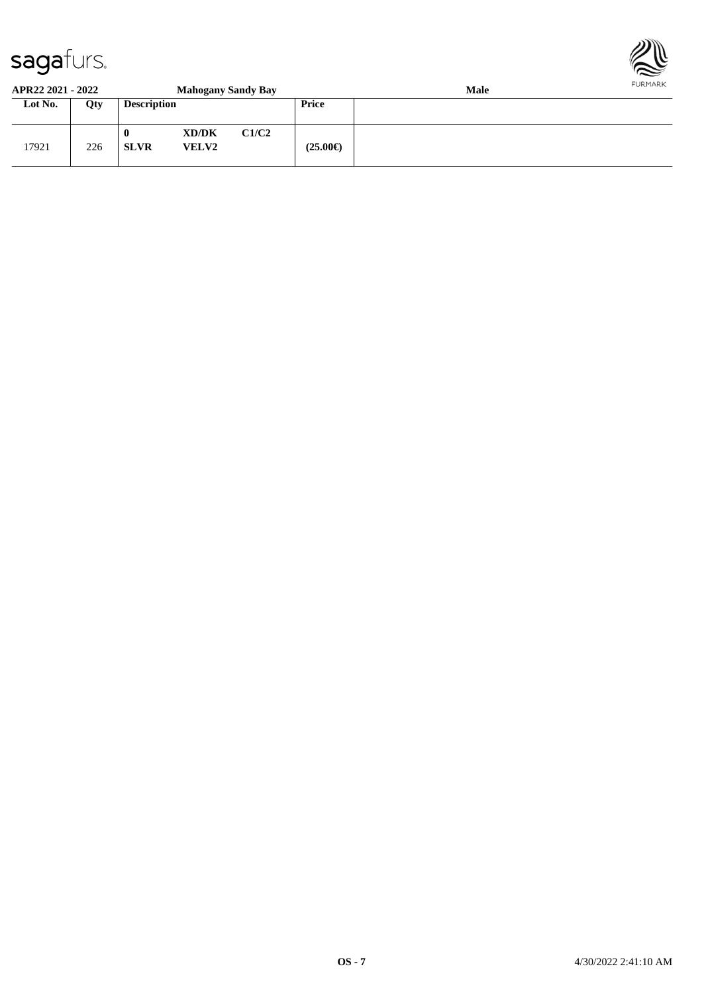

#### **APR22 2021 - 2022 Mahogany Sandy Bay Male Lot No. Qty Description Price**

| Lot No. | Qty | <b>Description</b>          |                       |       | Price             |  |
|---------|-----|-----------------------------|-----------------------|-------|-------------------|--|
| 17921   | 226 | $\mathbf{0}$<br><b>SLVR</b> | XD/DK<br><b>VELV2</b> | C1/C2 | $(25.00\epsilon)$ |  |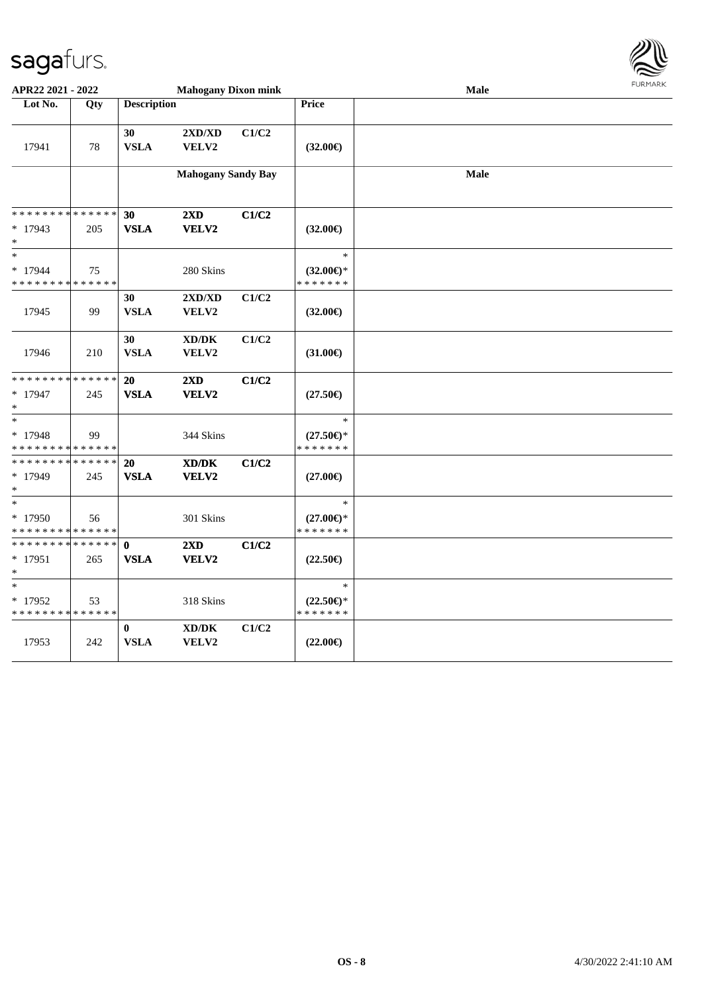

| APR22 2021 - 2022                                                                   |                    |                             | <b>Mahogany Dixon mink</b>                           |       |                                                | Male | <b>FURPIARR</b> |
|-------------------------------------------------------------------------------------|--------------------|-----------------------------|------------------------------------------------------|-------|------------------------------------------------|------|-----------------|
| Lot No.                                                                             | Qty                | <b>Description</b>          |                                                      |       | Price                                          |      |                 |
| 17941                                                                               | 78                 | 30<br><b>VSLA</b>           | 2XD/XD<br>VELV2                                      | C1/C2 | $(32.00\epsilon)$                              |      |                 |
|                                                                                     |                    |                             | <b>Mahogany Sandy Bay</b>                            |       |                                                | Male |                 |
| * * * * * * * *<br>$*17943$                                                         | * * * * * *<br>205 | 30<br><b>VSLA</b>           | 2XD<br>VELV2                                         | C1/C2 | $(32.00\epsilon)$                              |      |                 |
| $*$                                                                                 |                    |                             |                                                      |       |                                                |      |                 |
| $*$<br>$*17944$<br>* * * * * * * * * * * * * *                                      | 75                 |                             | 280 Skins                                            |       | $\ast$<br>$(32.00\epsilon)$ *<br>* * * * * * * |      |                 |
| 17945                                                                               | 99                 | 30<br><b>VSLA</b>           | $2{\bf X}{\bf D}/{\bf X}{\bf D}$<br><b>VELV2</b>     | C1/C2 | $(32.00\epsilon)$                              |      |                 |
| 17946                                                                               | 210                | 30<br><b>VSLA</b>           | XD/DK<br>VELV2                                       | C1/C2 | $(31.00\epsilon)$                              |      |                 |
| ******** <mark>******</mark><br>$* 17947$<br>$*$                                    | 245                | <b>20</b><br><b>VSLA</b>    | 2XD<br>VELV2                                         | C1/C2 | $(27.50\epsilon)$                              |      |                 |
| $\overline{\phantom{0}}$<br>$* 17948$<br>* * * * * * * * <mark>* * * * * * *</mark> | 99                 |                             | 344 Skins                                            |       | $\ast$<br>$(27.50\epsilon)$ *<br>* * * * * * * |      |                 |
| * * * * * * * * * * * * * * *<br>$*17949$<br>$*$                                    | 245                | 20<br><b>VSLA</b>           | $\mathbf{X}\mathbf{D}/\mathbf{D}\mathbf{K}$<br>VELV2 | C1/C2 | $(27.00\epsilon)$                              |      |                 |
| $\ast$<br>$*17950$<br>* * * * * * * * * * * * * *                                   | 56                 |                             | 301 Skins                                            |       | $\ast$<br>$(27.00\epsilon)$ *<br>* * * * * * * |      |                 |
| * * * * * * * * * * * * * * *<br>$*17951$<br>$*$                                    | 265                | $\mathbf{0}$<br><b>VSLA</b> | $2\mathbf{X}\mathbf{D}$<br>VELV2                     | C1/C2 | $(22.50\epsilon)$                              |      |                 |
| $\ast$<br>$*17952$<br>* * * * * * * * * * * * * *                                   | 53                 |                             | 318 Skins                                            |       | $\ast$<br>$(22.50\epsilon)$ *<br>* * * * * * * |      |                 |
| 17953                                                                               | 242                | $\bf{0}$<br><b>VSLA</b>     | $\bold{X}\bold{D}/\bold{D}\bold{K}$<br>VELV2         | C1/C2 | $(22.00\epsilon)$                              |      |                 |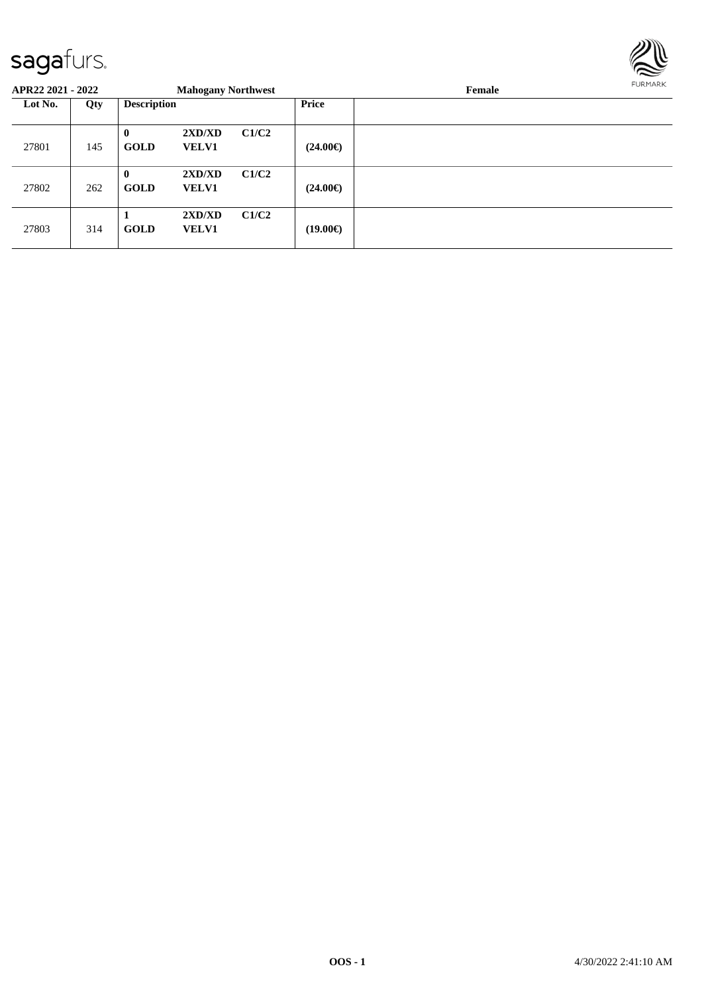

| APR22 2021 - 2022 |     |                             | <b>Mahogany Northwest</b> |       |                   | Female | <b>FURMARK</b> |
|-------------------|-----|-----------------------------|---------------------------|-------|-------------------|--------|----------------|
| Lot No.           | Qty | <b>Description</b>          |                           |       | Price             |        |                |
| 27801             | 145 | $\mathbf{0}$<br><b>GOLD</b> | 2XD/XD<br><b>VELV1</b>    | C1/C2 | $(24.00\epsilon)$ |        |                |
| 27802             | 262 | $\bf{0}$<br><b>GOLD</b>     | 2XD/XD<br><b>VELV1</b>    | C1/C2 | $(24.00\epsilon)$ |        |                |
| 27803             | 314 | <b>GOLD</b>                 | 2XD/XD<br><b>VELV1</b>    | C1/C2 | $(19.00\epsilon)$ |        |                |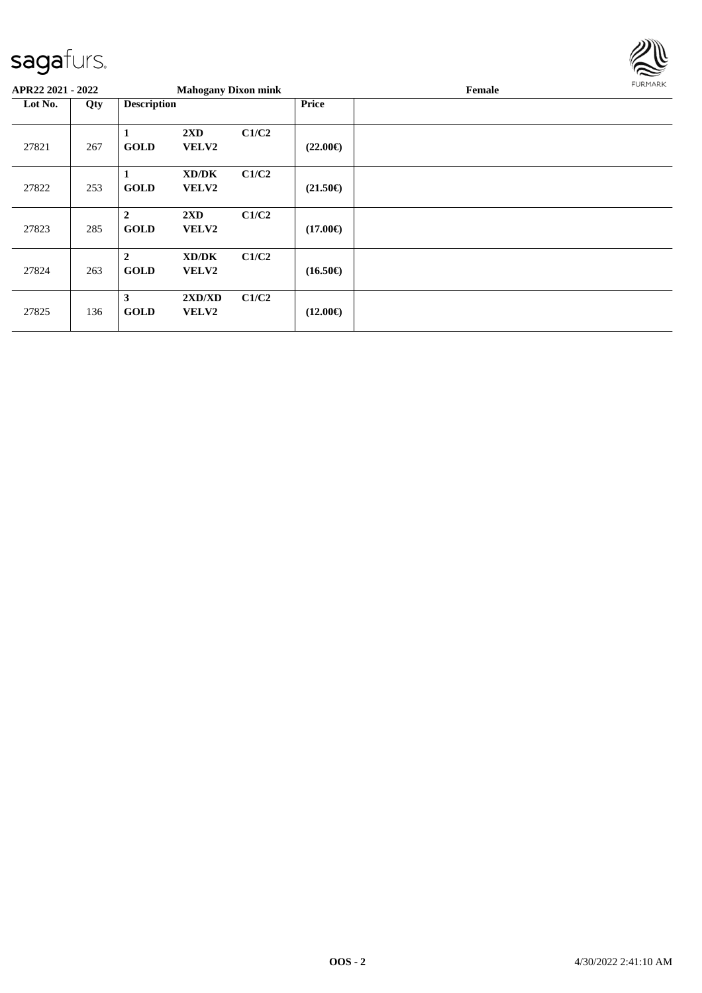

| APR22 2021 - 2022 |     |                                 | <b>Mahogany Dixon mink</b>              |       |                   | Female | FURMARK |
|-------------------|-----|---------------------------------|-----------------------------------------|-------|-------------------|--------|---------|
| Lot No.           | Qty | <b>Description</b>              |                                         |       | <b>Price</b>      |        |         |
| 27821             | 267 | 1<br><b>GOLD</b>                | $2\mathbf{X}\mathbf{D}$<br><b>VELV2</b> | C1/C2 | $(22.00\epsilon)$ |        |         |
| 27822             | 253 | -1<br><b>GOLD</b>               | XD/DK<br><b>VELV2</b>                   | C1/C2 | $(21.50\epsilon)$ |        |         |
| 27823             | 285 | $\overline{2}$<br><b>GOLD</b>   | $2\mathbf{X}\mathbf{D}$<br><b>VELV2</b> | C1/C2 | $(17.00\epsilon)$ |        |         |
| 27824             | 263 | $\boldsymbol{2}$<br><b>GOLD</b> | XD/DK<br><b>VELV2</b>                   | C1/C2 | $(16.50\epsilon)$ |        |         |
| 27825             | 136 | 3<br><b>GOLD</b>                | 2XD/XD<br><b>VELV2</b>                  | C1/C2 | $(12.00\epsilon)$ |        |         |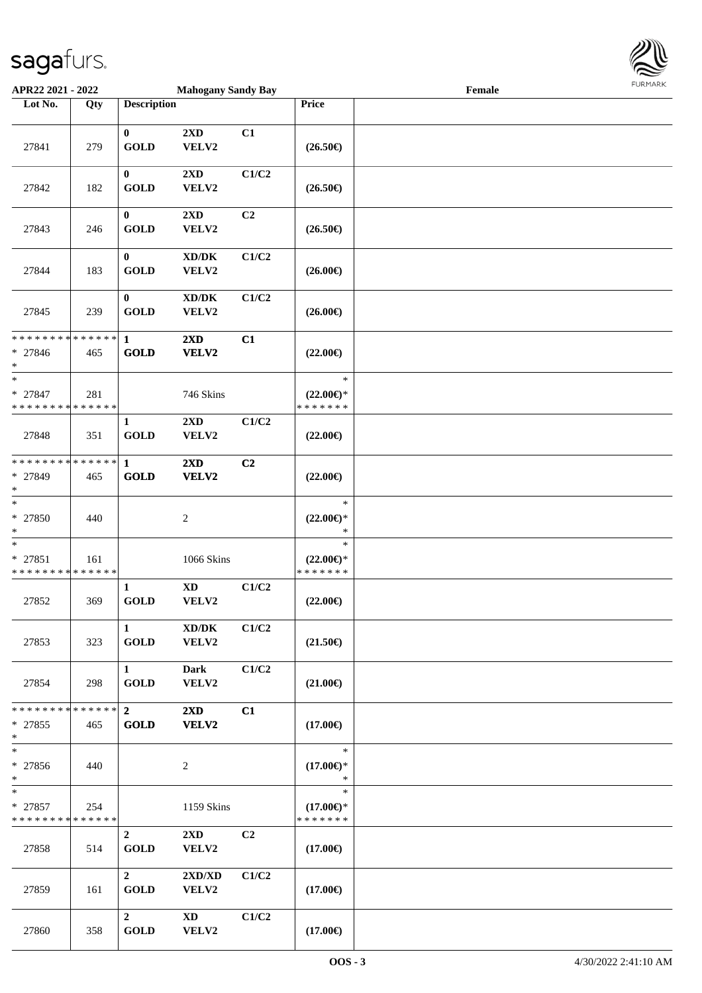

| APR22 2021 - 2022                                  |     |                               | <b>Mahogany Sandy Bay</b>                    |                |                                                | Female |  |
|----------------------------------------------------|-----|-------------------------------|----------------------------------------------|----------------|------------------------------------------------|--------|--|
| Lot No.                                            | Qty | <b>Description</b>            |                                              |                | Price                                          |        |  |
| 27841                                              | 279 | $\mathbf{0}$<br><b>GOLD</b>   | 2XD<br>VELV2                                 | C1             | $(26.50\epsilon)$                              |        |  |
| 27842                                              | 182 | $\bf{0}$<br><b>GOLD</b>       | 2XD<br>VELV2                                 | C1/C2          | $(26.50\epsilon)$                              |        |  |
| 27843                                              | 246 | $\bf{0}$<br><b>GOLD</b>       | 2XD<br>VELV2                                 | C <sub>2</sub> | $(26.50\epsilon)$                              |        |  |
| 27844                                              | 183 | $\bf{0}$<br><b>GOLD</b>       | XD/DK<br>VELV2                               | C1/C2          | $(26.00\epsilon)$                              |        |  |
| 27845                                              | 239 | $\bf{0}$<br><b>GOLD</b>       | $\bold{X}\bold{D}/\bold{D}\bold{K}$<br>VELV2 | C1/C2          | $(26.00\epsilon)$                              |        |  |
| ******** <mark>******</mark><br>* 27846<br>$*$     | 465 | $\mathbf{1}$<br><b>GOLD</b>   | 2XD<br>VELV2                                 | C1             | $(22.00\epsilon)$                              |        |  |
| $\ast$<br>* 27847<br>* * * * * * * * * * * * * *   | 281 |                               | 746 Skins                                    |                | $\ast$<br>$(22.00\epsilon)$ *<br>* * * * * * * |        |  |
| 27848                                              | 351 | $\mathbf{1}$<br><b>GOLD</b>   | 2XD<br>VELV2                                 | C1/C2          | $(22.00\epsilon)$                              |        |  |
| * * * * * * * * * * * * * * *<br>* 27849<br>$\ast$ | 465 | 1<br><b>GOLD</b>              | 2XD<br>VELV2                                 | C2             | $(22.00\epsilon)$                              |        |  |
| $*$<br>* 27850<br>$*$                              | 440 |                               | $\sqrt{2}$                                   |                | $\ast$<br>$(22.00\epsilon)$ *<br>$\ast$        |        |  |
| $\ast$<br>$* 27851$<br>* * * * * * * * * * * * * * | 161 |                               | 1066 Skins                                   |                | $\ast$<br>$(22.00\epsilon)$ *<br>* * * * * * * |        |  |
| 27852                                              | 369 | $\mathbf{1}$<br><b>GOLD</b>   | $\mathbf{X}\mathbf{D}$<br>VELV2              | C1/C2          | $(22.00\epsilon)$                              |        |  |
| 27853                                              | 323 | $\mathbf{1}$<br><b>GOLD</b>   | $\bold{X}\bold{D}/\bold{D}\bold{K}$<br>VELV2 | C1/C2          | $(21.50\epsilon)$                              |        |  |
| 27854                                              | 298 | $\mathbf{1}$<br><b>GOLD</b>   | <b>Dark</b><br>VELV2                         | C1/C2          | $(21.00\epsilon)$                              |        |  |
| * * * * * * * * * * * * * * *<br>$* 27855$<br>$*$  | 465 | $\overline{2}$<br><b>GOLD</b> | $2\mathbf{X}\mathbf{D}$<br><b>VELV2</b>      | C1             | $(17.00\epsilon)$                              |        |  |
| $*$<br>* 27856<br>$*$                              | 440 |                               | $\overline{c}$                               |                | $\ast$<br>$(17.00\epsilon)$ *<br>$\ast$        |        |  |
| $\ast$<br>* 27857<br>* * * * * * * * * * * * * *   | 254 |                               | 1159 Skins                                   |                | $\ast$<br>$(17.00\epsilon)$ *<br>* * * * * * * |        |  |
| 27858                                              | 514 | $\overline{2}$<br><b>GOLD</b> | $2\mathbf{X}\mathbf{D}$<br>VELV2             | C2             | $(17.00\epsilon)$                              |        |  |
| 27859                                              | 161 | $\overline{2}$<br><b>GOLD</b> | 2XD/XD<br>VELV2                              | C1/C2          | $(17.00\epsilon)$                              |        |  |
| 27860                                              | 358 | $\mathbf{2}$<br><b>GOLD</b>   | XD<br>VELV2                                  | C1/C2          | $(17.00\epsilon)$                              |        |  |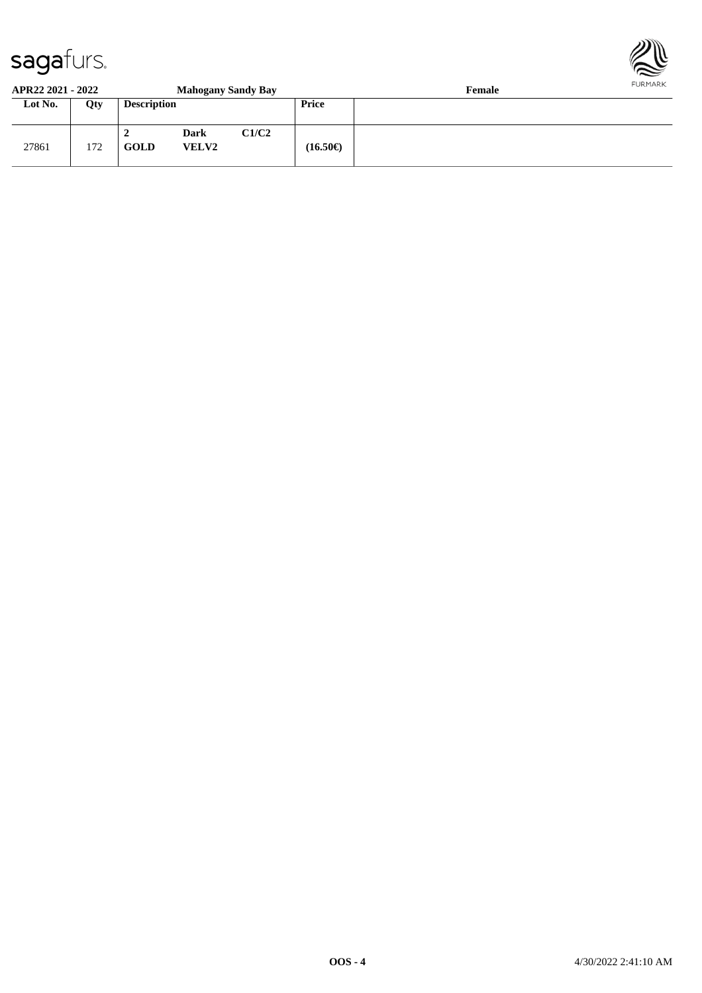

#### **APR22 2021 - 2022 Mahogany Sandy Bay Female**

| Lot No. | Qty | <b>Description</b> |                      |       | Price             |  |
|---------|-----|--------------------|----------------------|-------|-------------------|--|
| 27861   | 172 | ∸<br><b>GOLD</b>   | Dark<br><b>VELV2</b> | C1/C2 | $(16.50\epsilon)$ |  |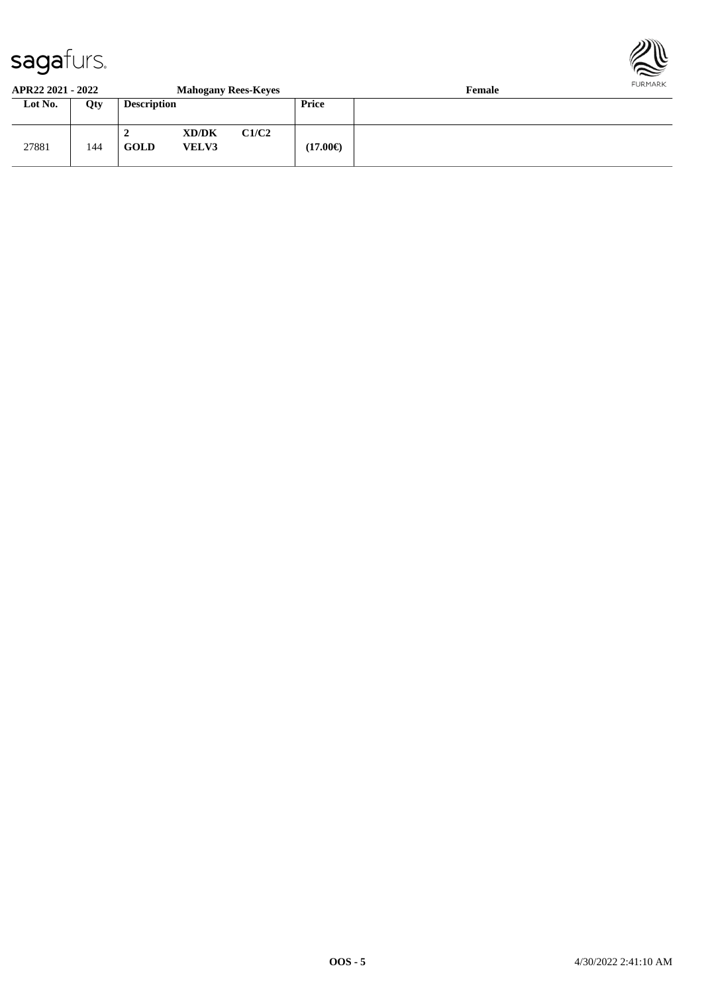

#### **APR22 2021 - 2022 Mahogany Rees-Keyes Female**

| Lot No. | Qty | <b>Description</b> |                       |       | Price             |  |
|---------|-----|--------------------|-----------------------|-------|-------------------|--|
| 27881   | 144 | GOLD               | XD/DK<br><b>VELV3</b> | C1/C2 | $(17.00\epsilon)$ |  |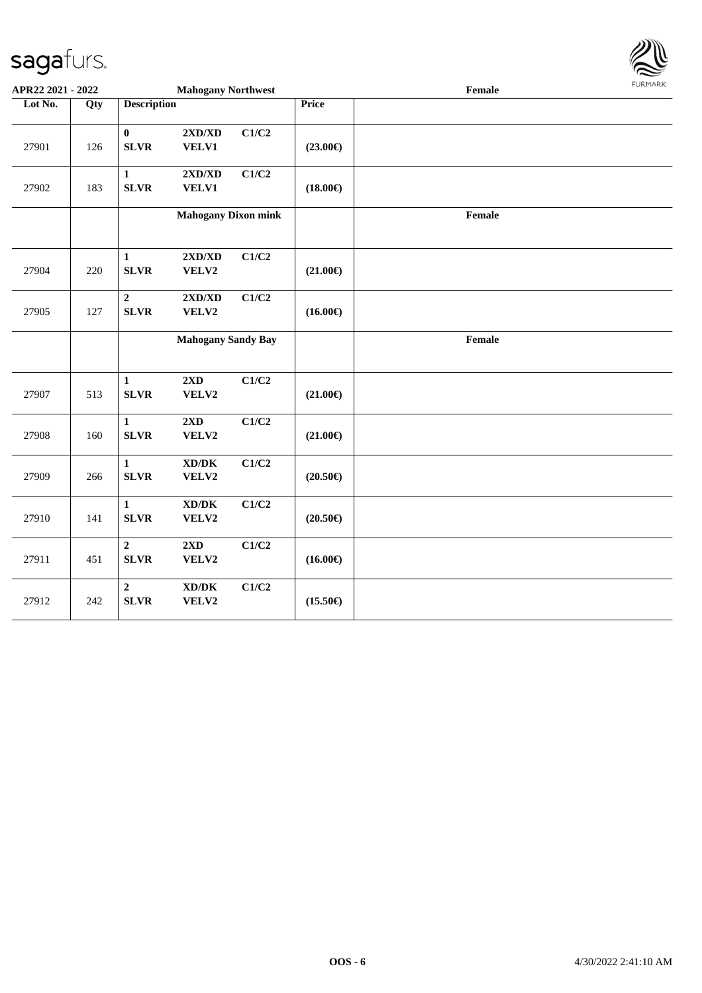

| APR22 2021 - 2022 |     |                               | <b>Mahogany Northwest</b>                                                 |       |                   | Female | <b>FUNITANN</b> |
|-------------------|-----|-------------------------------|---------------------------------------------------------------------------|-------|-------------------|--------|-----------------|
| Lot No.           | Qty | <b>Description</b>            |                                                                           |       | <b>Price</b>      |        |                 |
| 27901             | 126 | $\bf{0}$<br><b>SLVR</b>       | $2{\bf X}{\bf D}/{\bf X}{\bf D}$<br><b>VELV1</b>                          | C1/C2 | $(23.00\epsilon)$ |        |                 |
| 27902             | 183 | $\mathbf{1}$<br><b>SLVR</b>   | $2{\bf X}{\bf D}/{\bf X}{\bf D}$<br><b>VELV1</b>                          | C1/C2 | $(18.00\epsilon)$ |        |                 |
|                   |     |                               | <b>Mahogany Dixon mink</b>                                                |       |                   | Female |                 |
| 27904             | 220 | $\mathbf{1}$<br><b>SLVR</b>   | 2XD/XD<br>VELV2                                                           | C1/C2 | $(21.00\epsilon)$ |        |                 |
| 27905             | 127 | $\mathbf 2$<br><b>SLVR</b>    | 2XD/XD<br>VELV2                                                           | C1/C2 | $(16.00\epsilon)$ |        |                 |
|                   |     |                               | <b>Mahogany Sandy Bay</b>                                                 |       |                   | Female |                 |
| 27907             | 513 | $\mathbf{1}$<br><b>SLVR</b>   | $2\mathbf{X}\mathbf{D}$<br>VELV2                                          | C1/C2 | $(21.00\epsilon)$ |        |                 |
| 27908             | 160 | $\mathbf{1}$<br><b>SLVR</b>   | 2XD<br>VELV2                                                              | C1/C2 | $(21.00\epsilon)$ |        |                 |
| 27909             | 266 | $\mathbf{1}$<br><b>SLVR</b>   | $\bold{X}\bold{D}/\bold{D}\bold{K}$<br>VELV2                              | C1/C2 | $(20.50\epsilon)$ |        |                 |
| 27910             | 141 | 1<br><b>SLVR</b>              | XD/DK<br>VELV2                                                            | C1/C2 | $(20.50\epsilon)$ |        |                 |
| 27911             | 451 | $\overline{2}$<br><b>SLVR</b> | 2XD<br>VELV2                                                              | C1/C2 | $(16.00\epsilon)$ |        |                 |
| 27912             | 242 | $\overline{2}$<br><b>SLVR</b> | $\boldsymbol{\mathrm{XD}}\boldsymbol{/}\boldsymbol{\mathrm{DK}}$<br>VELV2 | C1/C2 | $(15.50\epsilon)$ |        |                 |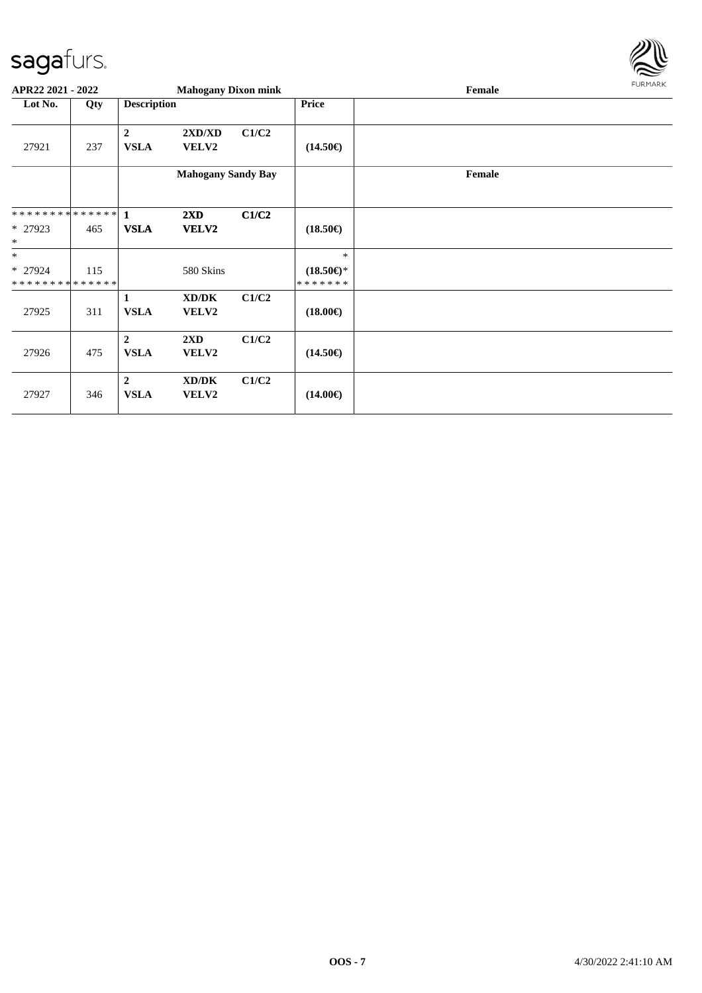

| APR22 2021 - 2022                        |     |                               | <b>Mahogany Dixon mink</b> |       |                                | Female | FURMARK |
|------------------------------------------|-----|-------------------------------|----------------------------|-------|--------------------------------|--------|---------|
| Lot No.                                  | Qty | <b>Description</b>            |                            |       | <b>Price</b>                   |        |         |
| 27921                                    | 237 | $\overline{2}$<br><b>VSLA</b> | 2XD/XD<br>VELV2            | C1/C2 | $(14.50\epsilon)$              |        |         |
|                                          |     |                               | <b>Mahogany Sandy Bay</b>  |       |                                | Female |         |
|                                          |     |                               | $2\mathbf{X}\mathbf{D}$    | C1/C2 |                                |        |         |
| $*27923$<br>$\ast$                       | 465 | <b>VSLA</b>                   | <b>VELV2</b>               |       | $(18.50\epsilon)$              |        |         |
| $\ast$                                   |     |                               |                            |       | $\ast$                         |        |         |
| $*$ 27924<br>* * * * * * * * * * * * * * | 115 |                               | 580 Skins                  |       | $(18.50\epsilon)$ *<br>******* |        |         |
| 27925                                    | 311 | 1<br><b>VSLA</b>              | XD/DK<br>VELV2             | C1/C2 | $(18.00\epsilon)$              |        |         |
| 27926                                    | 475 | $\overline{2}$<br><b>VSLA</b> | 2XD<br>VELV2               | C1/C2 | $(14.50\epsilon)$              |        |         |
| 27927                                    | 346 | $\overline{2}$<br><b>VSLA</b> | XD/DK<br><b>VELV2</b>      | C1/C2 | $(14.00\epsilon)$              |        |         |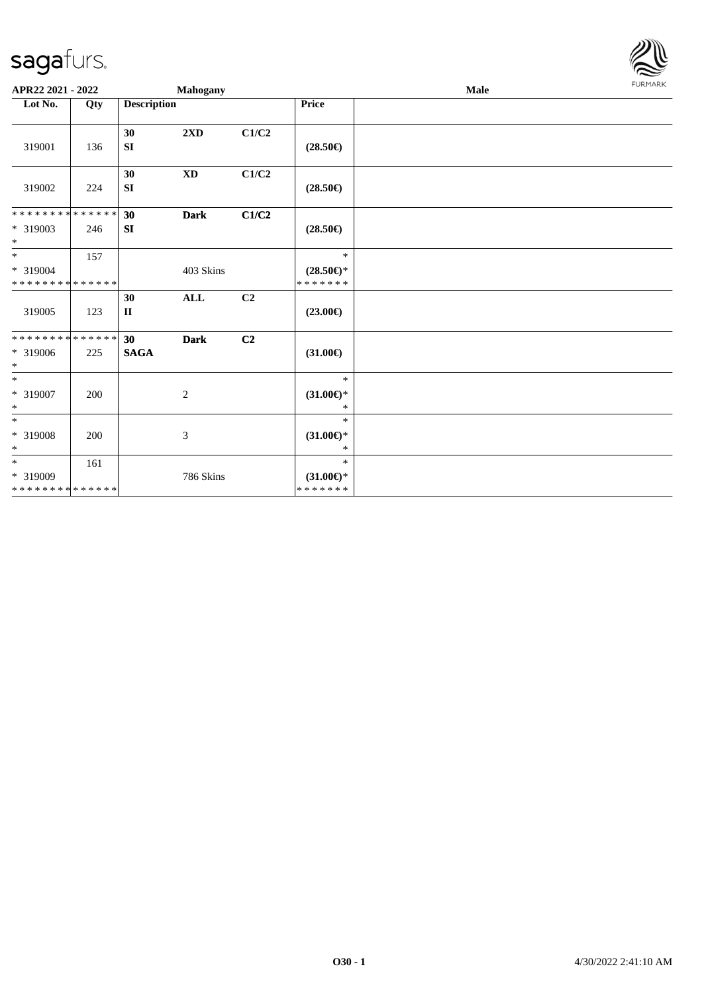

| APR22 2021 - 2022                                        |     |                    | Mahogany                    |                |                                                | Male | <b>FURMARK</b> |
|----------------------------------------------------------|-----|--------------------|-----------------------------|----------------|------------------------------------------------|------|----------------|
| Lot No.                                                  | Qty | <b>Description</b> |                             |                | Price                                          |      |                |
| 319001                                                   | 136 | 30<br>SI           | $2\mathbf{X}\mathbf{D}$     | C1/C2          | $(28.50\epsilon)$                              |      |                |
| 319002                                                   | 224 | 30<br>SI           | $\mathbf{X}\mathbf{D}$      | C1/C2          | $(28.50\epsilon)$                              |      |                |
| * * * * * * * * * * * * * *<br>* 319003<br>$\ast$        | 246 | 30<br>SI           | <b>Dark</b>                 | C1/C2          | $(28.50\epsilon)$                              |      |                |
| $\frac{1}{*}$<br>* 319004<br>* * * * * * * * * * * * * * | 157 |                    | 403 Skins                   |                | $\ast$<br>$(28.50\epsilon)$ *<br>* * * * * * * |      |                |
| 319005                                                   | 123 | 30<br>$\mathbf{I}$ | <b>ALL</b>                  | C2             | $(23.00\epsilon)$                              |      |                |
| **************<br>* 319006<br>$\ast$                     | 225 | 30<br><b>SAGA</b>  | <b>Dark</b>                 | C <sub>2</sub> | $(31.00\epsilon)$                              |      |                |
| $*$<br>* 319007<br>$\ast$                                | 200 |                    | 2                           |                | $\ast$<br>$(31.00\epsilon)$ *<br>$\ast$        |      |                |
| $\ast$<br>* 319008<br>$\ast$                             | 200 |                    | $\boldsymbol{\mathfrak{Z}}$ |                | $\ast$<br>$(31.00\epsilon)$ *<br>*             |      |                |
| $*$<br>$* 319009$<br>* * * * * * * * * * * * * *         | 161 |                    | 786 Skins                   |                | $\ast$<br>$(31.00\epsilon)$ *<br>* * * * * * * |      |                |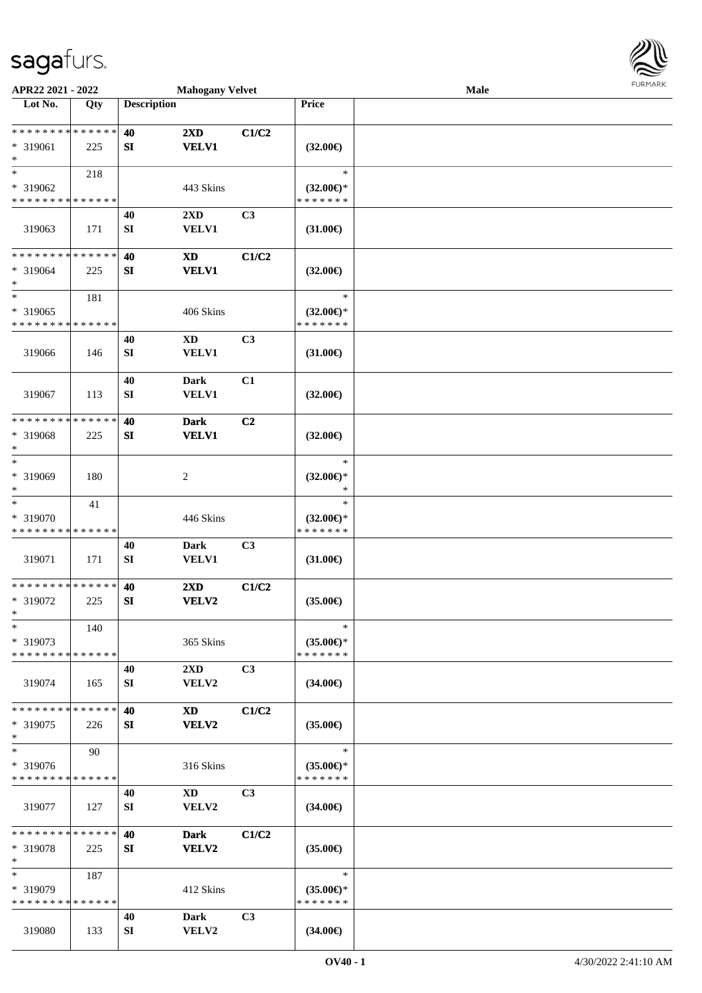

| APR22 2021 - 2022                          |     |                    | <b>Mahogany Velvet</b>      |       |                                      | Male |  |
|--------------------------------------------|-----|--------------------|-----------------------------|-------|--------------------------------------|------|--|
| Lot No.                                    | Qty | <b>Description</b> |                             |       | Price                                |      |  |
|                                            |     |                    |                             |       |                                      |      |  |
| **************                             |     | 40                 | $2\mathbf{X}\mathbf{D}$     | C1/C2 |                                      |      |  |
| * 319061                                   | 225 | SI                 | <b>VELV1</b>                |       | $(32.00\epsilon)$                    |      |  |
| $\ast$                                     |     |                    |                             |       |                                      |      |  |
| $\ast$                                     | 218 |                    |                             |       | $\ast$                               |      |  |
| * 319062                                   |     |                    | 443 Skins                   |       | $(32.00\epsilon)$ *                  |      |  |
| * * * * * * * * * * * * * *                |     |                    |                             |       | * * * * * * *                        |      |  |
|                                            |     | 40                 | 2XD                         | C3    |                                      |      |  |
| 319063                                     | 171 | ${\bf SI}$         | VELV1                       |       | $(31.00\epsilon)$                    |      |  |
|                                            |     |                    |                             |       |                                      |      |  |
| * * * * * * * * * * * * * *                |     | 40                 | $\boldsymbol{\mathrm{XD}}$  | C1/C2 |                                      |      |  |
| * 319064                                   | 225 | ${\bf S}{\bf I}$   | <b>VELV1</b>                |       | $(32.00\epsilon)$                    |      |  |
| $\ast$<br>$\ast$                           |     |                    |                             |       |                                      |      |  |
|                                            | 181 |                    |                             |       | $\ast$                               |      |  |
| * 319065                                   |     |                    | 406 Skins                   |       | $(32.00\epsilon)$ *                  |      |  |
| * * * * * * * * * * * * * *                |     |                    |                             |       | * * * * * * *                        |      |  |
|                                            |     | 40                 | <b>XD</b>                   | C3    |                                      |      |  |
| 319066                                     | 146 | ${\bf SI}$         | VELV1                       |       | $(31.00\epsilon)$                    |      |  |
|                                            |     |                    |                             | C1    |                                      |      |  |
| 319067                                     | 113 | 40<br>${\bf SI}$   | <b>Dark</b><br><b>VELV1</b> |       | $(32.00\epsilon)$                    |      |  |
|                                            |     |                    |                             |       |                                      |      |  |
| * * * * * * * * * * * * * *                |     | 40                 | <b>Dark</b>                 | C2    |                                      |      |  |
| * 319068                                   | 225 | SI                 | <b>VELV1</b>                |       | $(32.00\epsilon)$                    |      |  |
| $\ast$                                     |     |                    |                             |       |                                      |      |  |
| $\ast$                                     |     |                    |                             |       | $\ast$                               |      |  |
| * 319069                                   | 180 |                    | $\sqrt{2}$                  |       | $(32.00\epsilon)$ *                  |      |  |
| $\ast$                                     |     |                    |                             |       | $\ast$                               |      |  |
| $\ast$                                     | 41  |                    |                             |       | $\ast$                               |      |  |
| * 319070                                   |     |                    | 446 Skins                   |       | $(32.00\epsilon)$ *                  |      |  |
| * * * * * * * * <mark>* * * * * * *</mark> |     |                    |                             |       | * * * * * * *                        |      |  |
|                                            |     | 40                 | <b>Dark</b>                 | C3    |                                      |      |  |
| 319071                                     | 171 | SI                 | <b>VELV1</b>                |       | $(31.00\epsilon)$                    |      |  |
|                                            |     |                    |                             |       |                                      |      |  |
| ******** <mark>******</mark>               |     | 40                 | 2XD                         | C1/C2 |                                      |      |  |
| * 319072                                   | 225 | SI                 | VELV2                       |       | $(35.00\epsilon)$                    |      |  |
| $*$                                        |     |                    |                             |       |                                      |      |  |
| $\ast$                                     | 140 |                    |                             |       | $\ast$                               |      |  |
| * 319073<br>* * * * * * * * * * * * * *    |     |                    | 365 Skins                   |       | $(35.00\epsilon)$ *<br>* * * * * * * |      |  |
|                                            |     | 40                 | $2\mathbf{X}\mathbf{D}$     | C3    |                                      |      |  |
| 319074                                     | 165 | SI                 | VELV2                       |       | $(34.00\epsilon)$                    |      |  |
|                                            |     |                    |                             |       |                                      |      |  |
| * * * * * * * * * * * * * *                |     | 40                 | XD                          | C1/C2 |                                      |      |  |
| * 319075                                   | 226 | <b>SI</b>          | VELV2                       |       | $(35.00\epsilon)$                    |      |  |
| $\ast$                                     |     |                    |                             |       |                                      |      |  |
| $\ast$                                     | 90  |                    |                             |       | $\ast$                               |      |  |
| $* 319076$                                 |     |                    | 316 Skins                   |       | (35.00)                              |      |  |
| * * * * * * * * * * * * * *                |     |                    |                             |       | * * * * * * *                        |      |  |
|                                            |     | 40                 | XD                          | C3    |                                      |      |  |
| 319077                                     | 127 | SI                 | VELV2                       |       | $(34.00\epsilon)$                    |      |  |
|                                            |     |                    |                             |       |                                      |      |  |
| * * * * * * * * * * * * * *                |     | 40                 | <b>Dark</b>                 | C1/C2 |                                      |      |  |
| * 319078                                   | 225 | <b>SI</b>          | VELV2                       |       | $(35.00\epsilon)$                    |      |  |
| $\ast$                                     |     |                    |                             |       |                                      |      |  |
| $\ast$                                     | 187 |                    |                             |       | $\ast$                               |      |  |
| * 319079                                   |     |                    | 412 Skins                   |       | $(35.00\epsilon)$ *                  |      |  |
| * * * * * * * * * * * * * *                |     |                    |                             |       | * * * * * * *                        |      |  |
|                                            |     | 40                 | Dark                        | C3    |                                      |      |  |
| 319080                                     | 133 | SI                 | VELV2                       |       | $(34.00\epsilon)$                    |      |  |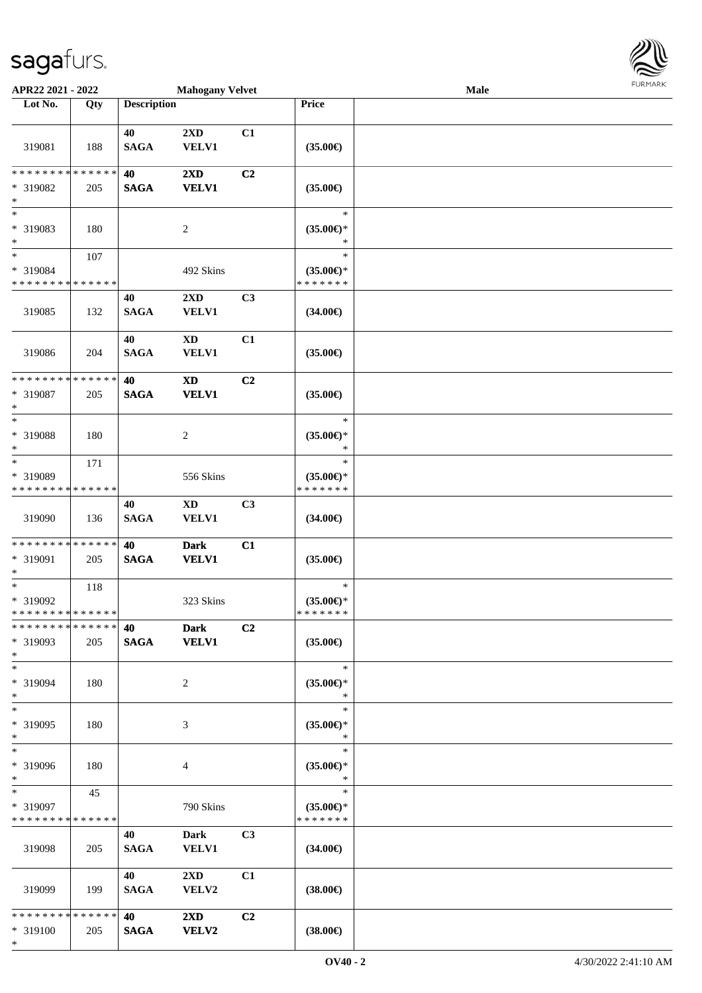\*



| APR22 2021 - 2022                                                |     |                    | <b>Mahogany Velvet</b>                  |                |                                                | Male | <b>FUNITANN</b> |
|------------------------------------------------------------------|-----|--------------------|-----------------------------------------|----------------|------------------------------------------------|------|-----------------|
| Lot No.                                                          | Qty | <b>Description</b> |                                         |                | Price                                          |      |                 |
| 319081                                                           | 188 | 40<br><b>SAGA</b>  | 2XD<br><b>VELV1</b>                     | C1             | $(35.00\epsilon)$                              |      |                 |
| * * * * * * * * * * * * * *<br>* 319082<br>$\ast$                | 205 | 40<br><b>SAGA</b>  | 2XD<br><b>VELV1</b>                     | C2             | $(35.00\epsilon)$                              |      |                 |
| $\ast$<br>* 319083<br>$\ast$                                     | 180 |                    | $\overline{c}$                          |                | $\ast$<br>$(35.00\epsilon)$ *                  |      |                 |
| $\ast$<br>* 319084<br>* * * * * * * * <mark>* * * * * * *</mark> | 107 |                    | 492 Skins                               |                | $\ast$<br>$(35.00\epsilon)$ *<br>* * * * * * * |      |                 |
| 319085                                                           | 132 | 40<br><b>SAGA</b>  | 2XD<br><b>VELV1</b>                     | C <sub>3</sub> | $(34.00\epsilon)$                              |      |                 |
| 319086                                                           | 204 | 40<br><b>SAGA</b>  | $\mathbf{X}\mathbf{D}$<br><b>VELV1</b>  | C1             | $(35.00\epsilon)$                              |      |                 |
| * * * * * * * * * * * * * *<br>* 319087<br>$\ast$                | 205 | 40<br><b>SAGA</b>  | $\mathbf{X}\mathbf{D}$<br><b>VELV1</b>  | C2             | $(35.00\epsilon)$                              |      |                 |
| $\ast$<br>* 319088<br>$\ast$                                     | 180 |                    | $\overline{c}$                          |                | $\ast$<br>$(35.00\epsilon)$ *<br>$\ast$        |      |                 |
| $\ast$<br>* 319089<br>* * * * * * * * <mark>* * * * * * *</mark> | 171 |                    | 556 Skins                               |                | $\ast$<br>$(35.00\epsilon)$ *<br>* * * * * * * |      |                 |
| 319090                                                           | 136 | 40<br><b>SAGA</b>  | XD<br><b>VELV1</b>                      | C <sub>3</sub> | $(34.00\epsilon)$                              |      |                 |
| **************<br>* 319091<br>$\ast$                             | 205 | 40<br><b>SAGA</b>  | <b>Dark</b><br><b>VELV1</b>             | C1             | $(35.00\epsilon)$                              |      |                 |
| $\ast$<br>* 319092<br>******** <mark>*****</mark> *              | 118 |                    | 323 Skins                               |                | $\ast$<br>$(35.00\epsilon)$ *<br>* * * * * * * |      |                 |
| * * * * * * * * * * * * * *<br>* 319093<br>$\ast$                | 205 | 40<br><b>SAGA</b>  | <b>Dark</b><br><b>VELV1</b>             | C2             | $(35.00\epsilon)$                              |      |                 |
| $\ast$<br>* 319094<br>$\ast$                                     | 180 |                    | 2                                       |                | $\ast$<br>$(35.00\epsilon)$ *<br>$\ast$        |      |                 |
| $\ast$<br>* 319095<br>$\ast$                                     | 180 |                    | 3                                       |                | $\ast$<br>$(35.00\epsilon)$ *<br>$\ast$        |      |                 |
| $\ast$<br>* 319096<br>$\ast$                                     | 180 |                    | 4                                       |                | $\ast$<br>$(35.00\epsilon)$ *<br>$\ast$        |      |                 |
| $\ast$<br>* 319097<br>* * * * * * * * * * * * * *                | 45  |                    | 790 Skins                               |                | $\ast$<br>$(35.00\epsilon)$ *<br>* * * * * * * |      |                 |
| 319098                                                           | 205 | 40<br><b>SAGA</b>  | <b>Dark</b><br><b>VELV1</b>             | C <sub>3</sub> | $(34.00\epsilon)$                              |      |                 |
| 319099                                                           | 199 | 40<br><b>SAGA</b>  | $2\mathbf{X}\mathbf{D}$<br><b>VELV2</b> | C1             | $(38.00\epsilon)$                              |      |                 |
| * * * * * * * * * * * * * *<br>* 319100                          | 205 | 40<br><b>SAGA</b>  | $2\mathbf{X}\mathbf{D}$<br><b>VELV2</b> | C <sub>2</sub> | $(38.00\epsilon)$                              |      |                 |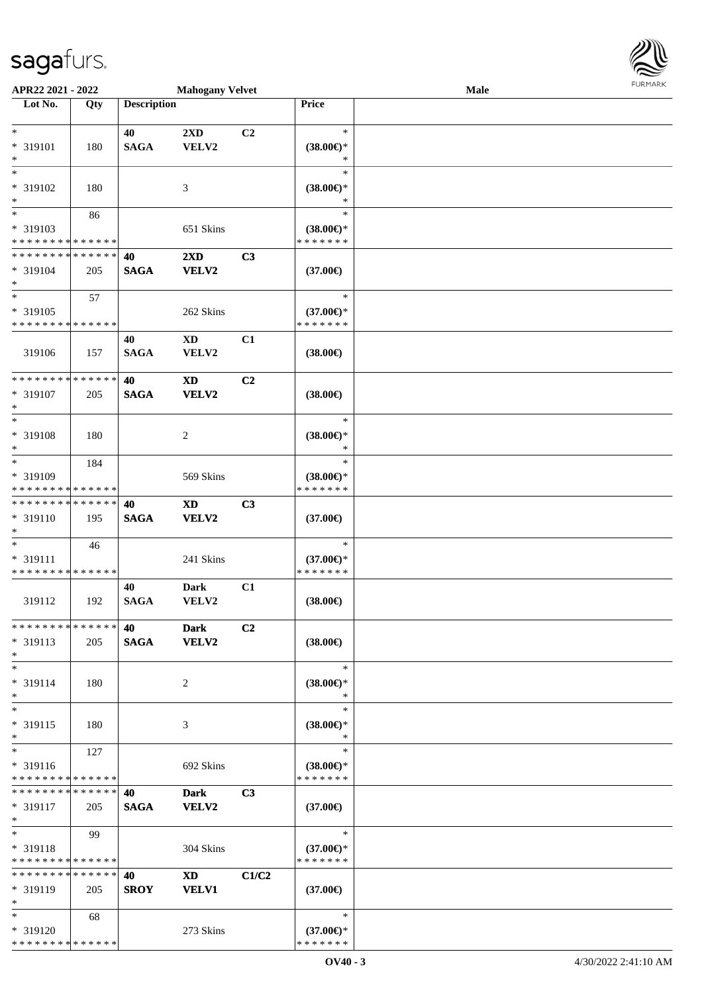| <b>FURMARK</b> |
|----------------|
|                |
|                |

| APR22 2021 - 2022                                                   |     |                    | <b>Mahogany Velvet</b>                 |                |                                                | Male | <b>FURMARK</b> |
|---------------------------------------------------------------------|-----|--------------------|----------------------------------------|----------------|------------------------------------------------|------|----------------|
| $\overline{\phantom{1}}$ Lot No.                                    | Qty | <b>Description</b> |                                        |                | Price                                          |      |                |
| $\ast$<br>* 319101<br>$\ast$                                        | 180 | 40<br><b>SAGA</b>  | 2XD<br>VELV2                           | C2             | $\ast$<br>$(38.00\epsilon)$ *<br>∗             |      |                |
| $\ast$<br>$* 319102$<br>$\ast$                                      | 180 |                    | 3                                      |                | $\ast$<br>$(38.00\in)^\ast$<br>$\ast$          |      |                |
| $\ast$<br>* 319103<br>* * * * * * * * * * * * * *                   | 86  |                    | 651 Skins                              |                | $\ast$<br>$(38.00\epsilon)$ *<br>* * * * * * * |      |                |
| * * * * * * * * * * * * * *<br>* 319104<br>$\ast$                   | 205 | 40<br><b>SAGA</b>  | 2XD<br><b>VELV2</b>                    | C3             | $(37.00\epsilon)$                              |      |                |
| $\ast$<br>* 319105<br>* * * * * * * * * * * * * *                   | 57  |                    | 262 Skins                              |                | $\ast$<br>$(37.00\epsilon)$ *<br>* * * * * * * |      |                |
| 319106                                                              | 157 | 40<br><b>SAGA</b>  | <b>XD</b><br>VELV2                     | C1             | $(38.00\epsilon)$                              |      |                |
| **************<br>* 319107<br>$\ast$                                | 205 | 40<br><b>SAGA</b>  | $\mathbf{X}\mathbf{D}$<br><b>VELV2</b> | C2             | $(38.00\epsilon)$                              |      |                |
| $\ast$<br>* 319108<br>$\ast$                                        | 180 |                    | 2                                      |                | $\ast$<br>$(38.00\epsilon)$ *<br>∗             |      |                |
| $\overline{\phantom{0}}$<br>* 319109<br>* * * * * * * * * * * * * * | 184 |                    | 569 Skins                              |                | $\ast$<br>$(38.00\epsilon)$ *<br>* * * * * * * |      |                |
| * * * * * * * * * * * * * *<br>* 319110<br>$\ast$                   | 195 | 40<br><b>SAGA</b>  | $\mathbf{X}\mathbf{D}$<br><b>VELV2</b> | C3             | $(37.00\epsilon)$                              |      |                |
| $\ast$<br>* 319111<br>* * * * * * * * * * * * * *                   | 46  |                    | 241 Skins                              |                | $\ast$<br>$(37.00\epsilon)$ *<br>* * * * * * * |      |                |
| 319112                                                              | 192 | 40<br><b>SAGA</b>  | <b>Dark</b><br>VELV2                   | C1             | $(38.00\epsilon)$                              |      |                |
| * * * * * * * * * * * * * *<br>* 319113<br>$\ast$                   | 205 | 40<br><b>SAGA</b>  | <b>Dark</b><br><b>VELV2</b>            | C <sub>2</sub> | $(38.00\epsilon)$                              |      |                |
| $\ast$<br>* 319114<br>$\ast$                                        | 180 |                    | 2                                      |                | $\ast$<br>$(38.00\epsilon)$ *<br>$\ast$        |      |                |
| $\overline{\phantom{a}^*}$<br>* 319115<br>$\ast$                    | 180 |                    | 3                                      |                | $\ast$<br>$(38.00\epsilon)$ *<br>$\ast$        |      |                |
| $\ast$<br>* 319116<br>* * * * * * * * * * * * * *                   | 127 |                    | 692 Skins                              |                | $\ast$<br>$(38.00\epsilon)$ *<br>* * * * * * * |      |                |
| * * * * * * * * * * * * * *<br>* 319117<br>$\ast$                   | 205 | 40<br><b>SAGA</b>  | <b>Dark</b><br><b>VELV2</b>            | C3             | $(37.00\epsilon)$                              |      |                |
| $\ast$<br>* 319118<br>* * * * * * * * * * * * * *                   | 99  |                    | 304 Skins                              |                | $\ast$<br>$(37.00\epsilon)$ *<br>* * * * * * * |      |                |
| * * * * * * * * * * * * * *<br>* 319119<br>$\ast$                   | 205 | 40<br><b>SROY</b>  | <b>XD</b><br><b>VELV1</b>              | C1/C2          | $(37.00\epsilon)$                              |      |                |
| $\ast$<br>* 319120<br>* * * * * * * * * * * * * *                   | 68  |                    | 273 Skins                              |                | $\ast$<br>$(37.00\epsilon)$ *<br>* * * * * * * |      |                |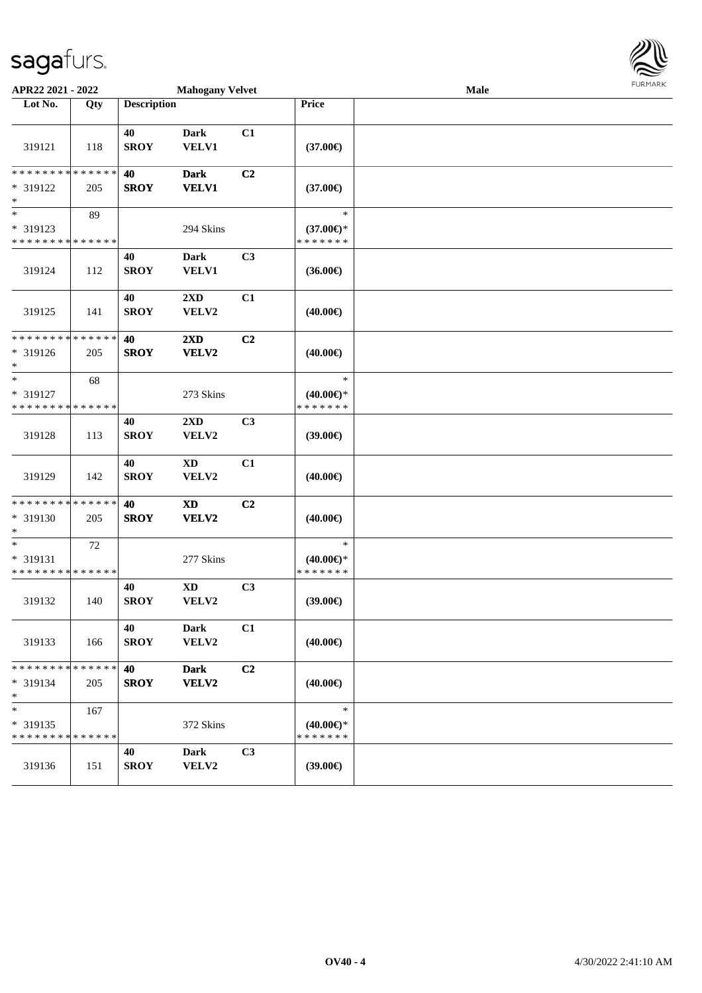| APR22 2021 - 2022                                 |     |                    | <b>Mahogany Velvet</b>          |                |                                                | Male | <b>FURMARK</b> |
|---------------------------------------------------|-----|--------------------|---------------------------------|----------------|------------------------------------------------|------|----------------|
| Lot No.                                           | Qty | <b>Description</b> |                                 |                | Price                                          |      |                |
| 319121                                            | 118 | 40<br><b>SROY</b>  | <b>Dark</b><br>VELV1            | C1             | $(37.00\epsilon)$                              |      |                |
| * * * * * * * * * * * * * *<br>* 319122<br>$\ast$ | 205 | 40<br><b>SROY</b>  | <b>Dark</b><br><b>VELV1</b>     | C2             | $(37.00\epsilon)$                              |      |                |
| $\ast$<br>* 319123<br>* * * * * * * * * * * * * * | 89  |                    | 294 Skins                       |                | $\ast$<br>$(37.00\epsilon)$ *<br>* * * * * * * |      |                |
| 319124                                            | 112 | 40<br><b>SROY</b>  | <b>Dark</b><br><b>VELV1</b>     | C3             | $(36.00\epsilon)$                              |      |                |
| 319125                                            | 141 | 40<br><b>SROY</b>  | 2XD<br>VELV2                    | C1             | $(40.00\epsilon)$                              |      |                |
| * * * * * * * * * * * * * *<br>* 319126<br>$\ast$ | 205 | 40<br><b>SROY</b>  | 2XD<br>VELV2                    | C2             | $(40.00\epsilon)$                              |      |                |
| $\ast$<br>* 319127<br>* * * * * * * * * * * * * * | 68  |                    | 273 Skins                       |                | $\ast$<br>$(40.00\epsilon)$ *<br>* * * * * * * |      |                |
| 319128                                            | 113 | 40<br><b>SROY</b>  | 2XD<br>VELV2                    | C3             | (39.00)                                        |      |                |
| 319129                                            | 142 | 40<br><b>SROY</b>  | $\mathbf{X}\mathbf{D}$<br>VELV2 | C1             | $(40.00\epsilon)$                              |      |                |
| * * * * * * * * * * * * * *<br>* 319130<br>$\ast$ | 205 | 40<br><b>SROY</b>  | $\mathbf{X}\mathbf{D}$<br>VELV2 | C <sub>2</sub> | $(40.00\epsilon)$                              |      |                |
| $\ast$<br>* 319131<br>* * * * * * * * * * * * * * | 72  |                    | 277 Skins                       |                | $\ast$<br>$(40.00\epsilon)$ *<br>* * * * * * * |      |                |
| 319132                                            | 140 | 40<br><b>SROY</b>  | $\mathbf{X}\mathbf{D}$<br>VELV2 | C3             | (39.00)                                        |      |                |
| 319133                                            | 166 | 40<br><b>SROY</b>  | <b>Dark</b><br>VELV2            | C1             | $(40.00\epsilon)$                              |      |                |
| * * * * * * * * * * * * * *<br>* 319134<br>$\ast$ | 205 | 40<br><b>SROY</b>  | <b>Dark</b><br>VELV2            | C2             | $(40.00\epsilon)$                              |      |                |
| $\ast$<br>* 319135<br>* * * * * * * * * * * * * * | 167 |                    | 372 Skins                       |                | $\ast$<br>$(40.00\epsilon)$ *<br>* * * * * * * |      |                |
| 319136                                            | 151 | 40<br><b>SROY</b>  | <b>Dark</b><br>VELV2            | C3             | $(39.00\epsilon)$                              |      |                |

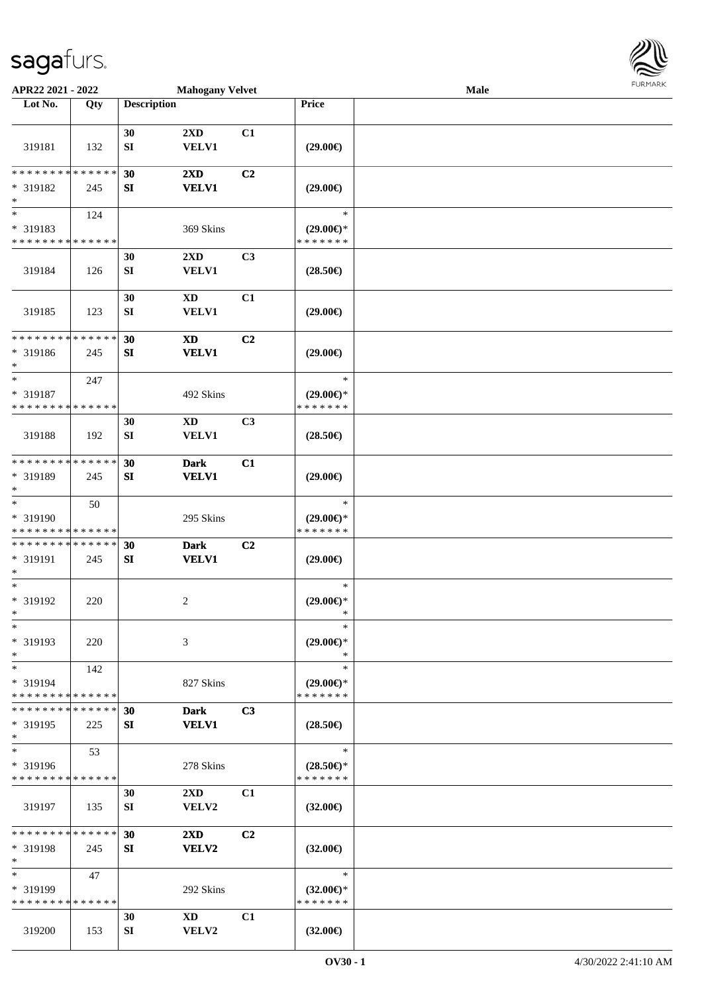

| APR22 2021 - 2022                          |     |                    | <b>Mahogany Velvet</b>  |                |                                   | Male |  |
|--------------------------------------------|-----|--------------------|-------------------------|----------------|-----------------------------------|------|--|
| Lot No.                                    | Qty | <b>Description</b> |                         |                | Price                             |      |  |
|                                            |     |                    |                         |                |                                   |      |  |
|                                            |     | 30                 | 2XD                     | C1             |                                   |      |  |
| 319181                                     | 132 | ${\bf SI}$         | <b>VELV1</b>            |                | $(29.00\epsilon)$                 |      |  |
|                                            |     |                    |                         |                |                                   |      |  |
| * * * * * * * * * * * * * *                |     | 30                 | 2XD                     | C2             |                                   |      |  |
| * 319182                                   | 245 | SI                 | <b>VELV1</b>            |                | $(29.00\epsilon)$                 |      |  |
| $\ast$                                     |     |                    |                         |                |                                   |      |  |
| $\overline{\phantom{1}}$                   | 124 |                    |                         |                | $\ast$                            |      |  |
| * 319183                                   |     |                    | 369 Skins               |                | $(29.00\epsilon)$ *               |      |  |
| * * * * * * * * * * * * * *                |     |                    |                         |                | * * * * * * *                     |      |  |
|                                            |     | 30                 | 2XD                     | C <sub>3</sub> |                                   |      |  |
| 319184                                     | 126 | ${\bf S}{\bf I}$   | <b>VELV1</b>            |                | $(28.50\epsilon)$                 |      |  |
|                                            |     |                    |                         |                |                                   |      |  |
|                                            |     | 30                 | $\mathbf{X}\mathbf{D}$  | C1             |                                   |      |  |
| 319185                                     | 123 | ${\bf SI}$         | VELV1                   |                | $(29.00\epsilon)$                 |      |  |
| * * * * * * * * * * * * * *                |     | 30                 | <b>XD</b>               | C2             |                                   |      |  |
| * 319186                                   | 245 | SI                 | <b>VELV1</b>            |                | $(29.00\epsilon)$                 |      |  |
| $\ast$                                     |     |                    |                         |                |                                   |      |  |
| $\ast$                                     | 247 |                    |                         |                | $\ast$                            |      |  |
| * 319187                                   |     |                    | 492 Skins               |                | $(29.00\epsilon)$ *               |      |  |
| * * * * * * * * * * * * * *                |     |                    |                         |                | * * * * * * *                     |      |  |
|                                            |     | 30                 | <b>XD</b>               | C3             |                                   |      |  |
| 319188                                     | 192 | SI                 | <b>VELV1</b>            |                | $(28.50\epsilon)$                 |      |  |
|                                            |     |                    |                         |                |                                   |      |  |
| * * * * * * * * * * * * * *                |     | 30                 | <b>Dark</b>             | C1             |                                   |      |  |
| * 319189                                   | 245 | SI                 | <b>VELV1</b>            |                | $(29.00\epsilon)$                 |      |  |
| $\ast$                                     |     |                    |                         |                |                                   |      |  |
| $\ast$                                     | 50  |                    |                         |                | $\ast$                            |      |  |
| * 319190                                   |     |                    | 295 Skins               |                | $(29.00\epsilon)$ *               |      |  |
| * * * * * * * * <mark>* * * * * * *</mark> |     |                    |                         |                | * * * * * * *                     |      |  |
| * * * * * * * * * * * * * *                |     | 30                 | <b>Dark</b>             | C2             |                                   |      |  |
| * 319191<br>$\ast$                         | 245 | SI                 | <b>VELV1</b>            |                | $(29.00\epsilon)$                 |      |  |
| $\ast$                                     |     |                    |                         |                | $\ast$                            |      |  |
| * 319192                                   | 220 |                    | $\overline{c}$          |                | $(29.00\epsilon)$ *               |      |  |
| $*$                                        |     |                    |                         |                | $\ast$                            |      |  |
| $\ast$                                     |     |                    |                         |                | $\ast$                            |      |  |
| * 319193                                   | 220 |                    | 3                       |                | $(29.00\epsilon)$ *               |      |  |
| $\ast$                                     |     |                    |                         |                | $\ast$                            |      |  |
| $\ast$                                     | 142 |                    |                         |                | $\ast$                            |      |  |
| * 319194                                   |     |                    | 827 Skins               |                | $(29.00\epsilon)$ *               |      |  |
| * * * * * * * * * * * * * *                |     |                    |                         |                | * * * * * * *                     |      |  |
| * * * * * * * * * * * * * *                |     | 30                 | <b>Dark</b>             | C3             |                                   |      |  |
| * 319195                                   | 225 | SI                 | <b>VELV1</b>            |                | $(28.50\epsilon)$                 |      |  |
| $\ast$<br>$\ast$                           |     |                    |                         |                | $\ast$                            |      |  |
|                                            | 53  |                    |                         |                |                                   |      |  |
| * 319196<br>* * * * * * * * * * * * * *    |     |                    | 278 Skins               |                | $(28.50 \in )^*$<br>* * * * * * * |      |  |
|                                            |     | 30                 | $2\mathbf{X}\mathbf{D}$ | C1             |                                   |      |  |
| 319197                                     | 135 | SI                 | <b>VELV2</b>            |                | $(32.00\epsilon)$                 |      |  |
|                                            |     |                    |                         |                |                                   |      |  |
| * * * * * * * * * * * * * *                |     | 30                 | $2\mathbf{X}\mathbf{D}$ | C <sub>2</sub> |                                   |      |  |
| * 319198                                   | 245 | SI                 | VELV2                   |                | $(32.00\epsilon)$                 |      |  |
| $\ast$                                     |     |                    |                         |                |                                   |      |  |
| $\ast$                                     | 47  |                    |                         |                | $\ast$                            |      |  |
| * 319199                                   |     |                    | 292 Skins               |                | $(32.00\epsilon)$ *               |      |  |
| * * * * * * * * * * * * * *                |     |                    |                         |                | * * * * * * *                     |      |  |
|                                            |     | 30                 | XD                      | C1             |                                   |      |  |
| 319200                                     | 153 | SI                 | VELV2                   |                | $(32.00\epsilon)$                 |      |  |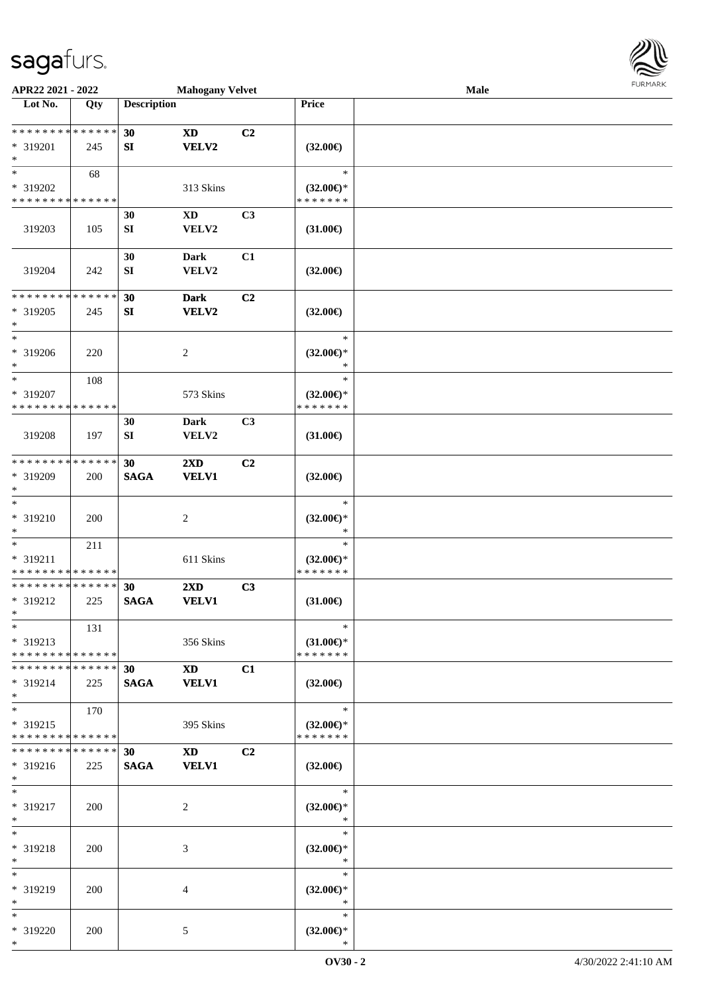

| APR22 2021 - 2022             |             |                    | <b>Mahogany Velvet</b>  |                |                     | Male |  |
|-------------------------------|-------------|--------------------|-------------------------|----------------|---------------------|------|--|
| Lot No.                       | Qty         | <b>Description</b> |                         |                | Price               |      |  |
|                               |             |                    |                         |                |                     |      |  |
| * * * * * * * * * * * * * *   |             | 30                 | <b>XD</b>               | C <sub>2</sub> |                     |      |  |
| * 319201                      | 245         | SI                 | <b>VELV2</b>            |                | $(32.00\epsilon)$   |      |  |
| $*$                           |             |                    |                         |                |                     |      |  |
| $*$                           | 68          |                    |                         |                | $\ast$              |      |  |
| * 319202                      |             |                    | 313 Skins               |                | $(32.00\epsilon)$ * |      |  |
| * * * * * * * * * * * * * *   |             |                    |                         |                | * * * * * * *       |      |  |
|                               |             | 30                 | $\mathbf{X}\mathbf{D}$  | C3             |                     |      |  |
| 319203                        | 105         | ${\bf S}{\bf I}$   | VELV2                   |                | $(31.00\epsilon)$   |      |  |
|                               |             |                    |                         |                |                     |      |  |
|                               |             | 30                 | <b>Dark</b>             | C1             |                     |      |  |
| 319204                        | 242         | ${\bf S}{\bf I}$   | VELV2                   |                | $(32.00\epsilon)$   |      |  |
|                               |             |                    |                         |                |                     |      |  |
| * * * * * * * * * * * * * *   |             | 30                 | <b>Dark</b>             | C <sub>2</sub> |                     |      |  |
| * 319205                      | 245         | SI                 | VELV2                   |                | $(32.00\epsilon)$   |      |  |
| $*$                           |             |                    |                         |                |                     |      |  |
| $\ast$                        |             |                    |                         |                | $\ast$              |      |  |
| * 319206                      | 220         |                    | 2                       |                | $(32.00\epsilon)$ * |      |  |
| $*$                           |             |                    |                         |                | $\ast$              |      |  |
| $\ast$                        | 108         |                    |                         |                | $\ast$              |      |  |
| * 319207                      |             |                    | 573 Skins               |                | $(32.00\epsilon)$ * |      |  |
| * * * * * * * * * * * * * *   |             |                    |                         |                | * * * * * * *       |      |  |
|                               |             | 30                 | <b>Dark</b>             | C3             |                     |      |  |
| 319208                        | 197         | SI                 | VELV2                   |                | $(31.00\epsilon)$   |      |  |
|                               |             |                    |                         |                |                     |      |  |
| * * * * * * * *               | * * * * * * | 30                 | 2XD                     | C <sub>2</sub> |                     |      |  |
| * 319209                      | 200         | <b>SAGA</b>        | <b>VELV1</b>            |                | $(32.00\epsilon)$   |      |  |
| $*$                           |             |                    |                         |                |                     |      |  |
| $\ast$                        |             |                    |                         |                | $\ast$              |      |  |
| * 319210                      | 200         |                    | $\overline{c}$          |                | $(32.00\epsilon)$ * |      |  |
| $*$                           |             |                    |                         |                | $\ast$              |      |  |
| $*$                           | 211         |                    |                         |                | $\ast$              |      |  |
| * 319211                      |             |                    | 611 Skins               |                | $(32.00\epsilon)$ * |      |  |
| * * * * * * * * * * * * * *   |             |                    |                         |                | * * * * * * *       |      |  |
| * * * * * * * * * * * * * *   |             | 30                 | $2\mathbf{X}\mathbf{D}$ | C3             |                     |      |  |
| * 319212                      | 225         | <b>SAGA</b>        | <b>VELV1</b>            |                | $(31.00\epsilon)$   |      |  |
| $*$                           |             |                    |                         |                |                     |      |  |
| $*$                           | 131         |                    |                         |                | $\ast$              |      |  |
| * 319213                      |             |                    | 356 Skins               |                | $(31.00\epsilon)$ * |      |  |
| * * * * * * * * * * * * * * * |             |                    |                         |                | * * * * * * *       |      |  |
| * * * * * * * * * * * * * * * |             | 30                 | <b>XD</b>               | C1             |                     |      |  |
| * 319214                      | 225         | <b>SAGA</b>        | <b>VELV1</b>            |                | $(32.00\epsilon)$   |      |  |
| $*$                           |             |                    |                         |                |                     |      |  |
| $*$                           | 170         |                    |                         |                | $\ast$              |      |  |
| * 319215                      |             |                    | 395 Skins               |                | $(32.00\epsilon)$ * |      |  |
| * * * * * * * * * * * * * *   |             |                    |                         |                | * * * * * * *       |      |  |
| * * * * * * * * * * * * * * * |             | 30                 | <b>XD</b>               | C <sub>2</sub> |                     |      |  |
| * 319216                      | 225         | <b>SAGA</b>        | <b>VELV1</b>            |                | $(32.00\epsilon)$   |      |  |
| $*$                           |             |                    |                         |                |                     |      |  |
| $*$                           |             |                    |                         |                | $\ast$              |      |  |
| * 319217                      | 200         |                    | 2                       |                | $(32.00\epsilon)$ * |      |  |
| $*$                           |             |                    |                         |                | $\ast$              |      |  |
| $*$                           |             |                    |                         |                | $\ast$              |      |  |
| * 319218                      | 200         |                    | 3                       |                | $(32.00\epsilon)$ * |      |  |
| $*$                           |             |                    |                         |                | $\ast$              |      |  |
| $*$                           |             |                    |                         |                | $\ast$              |      |  |
| * 319219                      | 200         |                    | 4                       |                | $(32.00\epsilon)$ * |      |  |
| $*$                           |             |                    |                         |                | $\ast$              |      |  |
| $*$                           |             |                    |                         |                | $\ast$              |      |  |
| * 319220                      | 200         |                    | 5                       |                | $(32.00\epsilon)$ * |      |  |
| $*$                           |             |                    |                         |                | $\ast$              |      |  |
|                               |             |                    |                         |                |                     |      |  |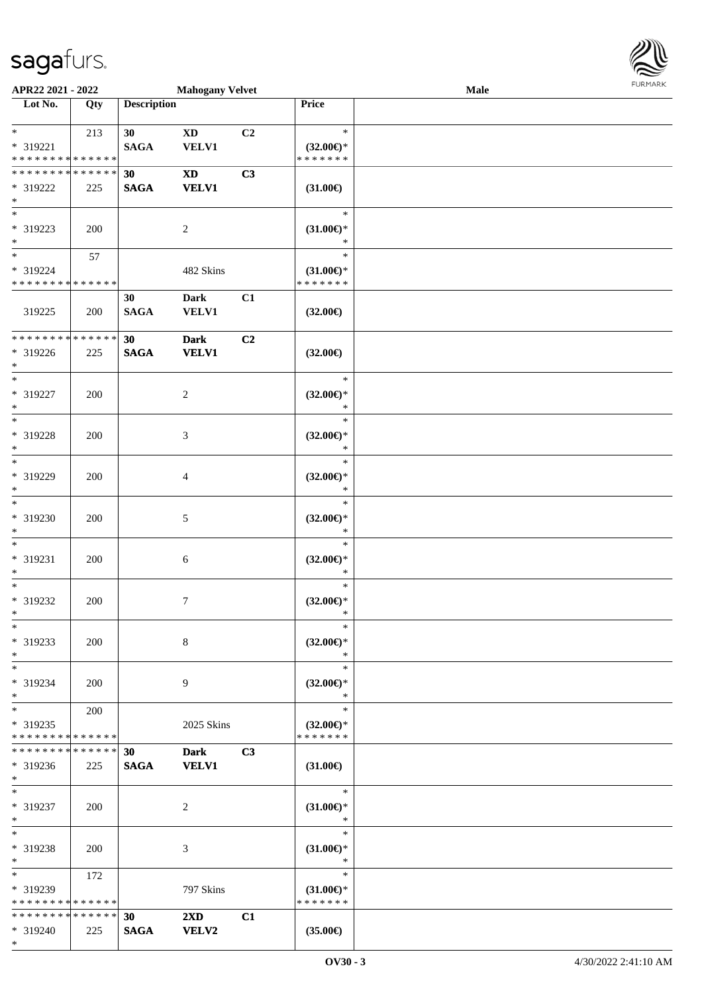\*

| APR22 2021 - 2022                          |     |                    | <b>Mahogany Velvet</b>  |    |                     | Male | <b>FUNITANN</b> |
|--------------------------------------------|-----|--------------------|-------------------------|----|---------------------|------|-----------------|
| Lot No.                                    | Qty | <b>Description</b> |                         |    | <b>Price</b>        |      |                 |
|                                            |     |                    |                         |    |                     |      |                 |
| $*$ $-$                                    | 213 | 30                 | <b>XD</b>               | C2 | $\ast$              |      |                 |
| * 319221                                   |     | <b>SAGA</b>        | <b>VELV1</b>            |    | $(32.00\epsilon)$ * |      |                 |
| * * * * * * * * <mark>* * * * * * *</mark> |     |                    |                         |    | * * * * * * *       |      |                 |
| * * * * * * * * <mark>* * * * * *</mark>   |     | 30                 | <b>XD</b>               | C3 |                     |      |                 |
| * 319222                                   | 225 | <b>SAGA</b>        | <b>VELV1</b>            |    | $(31.00\epsilon)$   |      |                 |
| $\ast$                                     |     |                    |                         |    |                     |      |                 |
| $*$                                        |     |                    |                         |    | $\ast$              |      |                 |
| * 319223                                   | 200 |                    | 2                       |    | $(31.00\epsilon)$ * |      |                 |
| $*$                                        |     |                    |                         |    |                     |      |                 |
| $*$                                        | 57  |                    |                         |    | $\ast$              |      |                 |
| * 319224                                   |     |                    | 482 Skins               |    | $(31.00\epsilon)$ * |      |                 |
| * * * * * * * * <mark>* * * * * * *</mark> |     |                    |                         |    | * * * * * * *       |      |                 |
|                                            |     | 30                 | Dark                    | C1 |                     |      |                 |
| 319225                                     | 200 | <b>SAGA</b>        | VELV1                   |    | $(32.00\epsilon)$   |      |                 |
|                                            |     |                    |                         |    |                     |      |                 |
| * * * * * * * * * * * * * *                |     | 30                 | <b>Dark</b>             | C2 |                     |      |                 |
| * 319226                                   | 225 | <b>SAGA</b>        | <b>VELV1</b>            |    | $(32.00\epsilon)$   |      |                 |
| $*$                                        |     |                    |                         |    |                     |      |                 |
| $*$                                        |     |                    |                         |    | $\ast$              |      |                 |
| * 319227                                   | 200 |                    | $\overline{c}$          |    | $(32.00\epsilon)$ * |      |                 |
| $*$                                        |     |                    |                         |    | $\ast$              |      |                 |
| $*$                                        |     |                    |                         |    | $\ast$              |      |                 |
| * 319228                                   | 200 |                    | 3                       |    | $(32.00\epsilon)$ * |      |                 |
| $*$                                        |     |                    |                         |    | $\ast$              |      |                 |
| $*$                                        |     |                    |                         |    | $\ast$              |      |                 |
| * 319229                                   | 200 |                    | 4                       |    | $(32.00\epsilon)$ * |      |                 |
| $\ast$                                     |     |                    |                         |    | $\ast$              |      |                 |
| $\frac{1}{\ast}$                           |     |                    |                         |    | $\ast$              |      |                 |
| * 319230                                   | 200 |                    | 5                       |    | $(32.00\epsilon)$ * |      |                 |
| $\ast$                                     |     |                    |                         |    | $\ast$              |      |                 |
| $*$                                        |     |                    |                         |    | $\ast$              |      |                 |
| * 319231                                   | 200 |                    | 6                       |    | $(32.00\epsilon)$ * |      |                 |
| $*$                                        |     |                    |                         |    | $\ast$              |      |                 |
| $*$                                        |     |                    |                         |    | $\ast$              |      |                 |
| * 319232                                   | 200 |                    | 7                       |    | $(32.00\epsilon)$ * |      |                 |
| $*$                                        |     |                    |                         |    |                     |      |                 |
| $*$                                        |     |                    |                         |    | $\ast$              |      |                 |
| * 319233                                   | 200 |                    | 8                       |    | $(32.00\epsilon)$ * |      |                 |
| $*$                                        |     |                    |                         |    | $\ast$              |      |                 |
| $*$                                        |     |                    |                         |    | $\ast$              |      |                 |
| * 319234                                   | 200 |                    | 9                       |    | $(32.00\epsilon)$ * |      |                 |
| $*$                                        |     |                    |                         |    | $\ast$              |      |                 |
| $*$                                        | 200 |                    |                         |    | $\ast$              |      |                 |
| * 319235                                   |     |                    | 2025 Skins              |    | $(32.00\epsilon)$ * |      |                 |
| * * * * * * * * <mark>* * * * * *</mark>   |     |                    |                         |    | * * * * * * *       |      |                 |
| * * * * * * * * * * * * * * *              |     | 30                 | Dark                    | C3 |                     |      |                 |
| $* 319236$                                 | 225 | <b>SAGA</b>        | <b>VELV1</b>            |    | $(31.00\epsilon)$   |      |                 |
| $\ast$                                     |     |                    |                         |    |                     |      |                 |
| $*$                                        |     |                    |                         |    | $\ast$              |      |                 |
| * 319237                                   | 200 |                    | 2                       |    | $(31.00\epsilon)$ * |      |                 |
| $*$                                        |     |                    |                         |    | ∗                   |      |                 |
| $*$                                        |     |                    |                         |    | $\ast$              |      |                 |
| * 319238                                   | 200 |                    | 3                       |    | $(31.00\epsilon)$ * |      |                 |
| $*$                                        |     |                    |                         |    | $\ast$              |      |                 |
| $*$ $-$                                    | 172 |                    |                         |    | $\ast$              |      |                 |
| * 319239                                   |     |                    | 797 Skins               |    | $(31.00\epsilon)$ * |      |                 |
| * * * * * * * * * * * * * *                |     |                    |                         |    | * * * * * * *       |      |                 |
| * * * * * * * * <mark>* * * * * * *</mark> |     | 30                 | $2\mathbf{X}\mathbf{D}$ | C1 |                     |      |                 |
| * 319240                                   | 225 | <b>SAGA</b>        | <b>VELV2</b>            |    | $(35.00\epsilon)$   |      |                 |

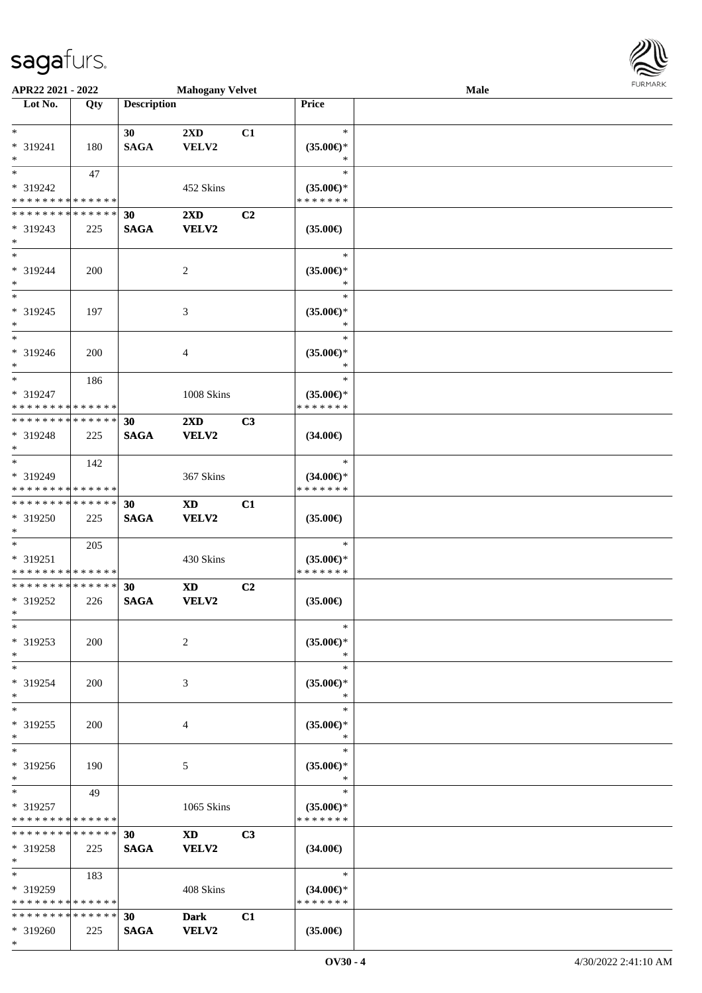\*



| APR22 2021 - 2022             |     |                    | <b>Mahogany Velvet</b> |                |                     | <b>Male</b> |  |
|-------------------------------|-----|--------------------|------------------------|----------------|---------------------|-------------|--|
| Lot No.                       | Qty | <b>Description</b> |                        |                | Price               |             |  |
|                               |     |                    |                        |                |                     |             |  |
| $*$                           |     | 30                 | 2XD                    | C1             | $\ast$              |             |  |
| * 319241                      | 180 | $\mathbf{SAGA}$    | VELV2                  |                | $(35.00\epsilon)$ * |             |  |
| $\ast$                        |     |                    |                        |                | ∗                   |             |  |
| $*$                           | 47  |                    |                        |                | $\ast$              |             |  |
| * 319242                      |     |                    | 452 Skins              |                | $(35.00\epsilon)$ * |             |  |
| * * * * * * * * * * * * * *   |     |                    |                        |                | * * * * * * *       |             |  |
| * * * * * * * * * * * * * *   |     | 30                 | 2XD                    | C <sub>2</sub> |                     |             |  |
| * 319243                      | 225 | <b>SAGA</b>        | VELV2                  |                | $(35.00\epsilon)$   |             |  |
| $*$                           |     |                    |                        |                |                     |             |  |
| $\ast$                        |     |                    |                        |                | $\ast$              |             |  |
| * 319244                      | 200 |                    | 2                      |                | $(35.00\epsilon)$ * |             |  |
| $*$                           |     |                    |                        |                | $\ast$              |             |  |
| $\ast$                        |     |                    |                        |                | $\ast$              |             |  |
| * 319245                      | 197 |                    | 3                      |                | $(35.00\epsilon)$ * |             |  |
| $\ast$                        |     |                    |                        |                | $\ast$              |             |  |
| $*$                           |     |                    |                        |                | $\ast$              |             |  |
| * 319246                      | 200 |                    | $\overline{4}$         |                | $(35.00\epsilon)$ * |             |  |
| $\ast$                        |     |                    |                        |                | $\ast$              |             |  |
| $*$                           | 186 |                    |                        |                | $\ast$              |             |  |
| * 319247                      |     |                    | 1008 Skins             |                | $(35.00\epsilon)$ * |             |  |
| * * * * * * * * * * * * * *   |     |                    |                        |                | * * * * * * *       |             |  |
| * * * * * * * * * * * * * *   |     | 30                 | 2XD                    | C3             |                     |             |  |
| * 319248                      | 225 | <b>SAGA</b>        | VELV2                  |                | $(34.00\epsilon)$   |             |  |
| $*$                           |     |                    |                        |                |                     |             |  |
|                               | 142 |                    |                        |                | $\ast$              |             |  |
| * 319249                      |     |                    | 367 Skins              |                | $(34.00\epsilon)$ * |             |  |
| * * * * * * * * * * * * * *   |     |                    |                        |                | * * * * * * *       |             |  |
| * * * * * * * * * * * * * *   |     | 30                 | <b>XD</b>              | C1             |                     |             |  |
| * 319250                      | 225 | <b>SAGA</b>        | VELV2                  |                | $(35.00\epsilon)$   |             |  |
| $*$                           |     |                    |                        |                |                     |             |  |
| $*$                           | 205 |                    |                        |                | $\ast$              |             |  |
| * 319251                      |     |                    | 430 Skins              |                | $(35.00\epsilon)$ * |             |  |
| * * * * * * * * * * * * * *   |     |                    |                        |                | * * * * * * *       |             |  |
| * * * * * * * * * * * * * *   |     | 30                 | <b>XD</b>              | C2             |                     |             |  |
| * 319252                      | 226 | <b>SAGA</b>        | VELV2                  |                | $(35.00\epsilon)$   |             |  |
| $*$                           |     |                    |                        |                |                     |             |  |
| $\ast$                        |     |                    |                        |                | $\ast$              |             |  |
| * 319253                      | 200 |                    | 2                      |                | $(35.00\epsilon)$ * |             |  |
| $\ast$                        |     |                    |                        |                | $\ast$              |             |  |
| $*$                           |     |                    |                        |                | $\ast$              |             |  |
| * 319254                      | 200 |                    | 3                      |                | $(35.00\epsilon)$ * |             |  |
| $\ast$                        |     |                    |                        |                | $\ast$              |             |  |
| $*$                           |     |                    |                        |                | $\ast$              |             |  |
| * 319255                      | 200 |                    | 4                      |                | $(35.00\epsilon)$ * |             |  |
| $\ast$                        |     |                    |                        |                | $\ast$              |             |  |
| $*$                           |     |                    |                        |                | $\ast$              |             |  |
| * 319256                      | 190 |                    | 5                      |                | $(35.00\epsilon)$ * |             |  |
| $*$                           |     |                    |                        |                | $\ast$              |             |  |
| $*$ $-$                       | 49  |                    |                        |                | $\ast$              |             |  |
| * 319257                      |     |                    | 1065 Skins             |                | $(35.00\epsilon)$ * |             |  |
| * * * * * * * * * * * * * *   |     |                    |                        |                | * * * * * * *       |             |  |
| * * * * * * * * * * * * * * * |     | 30                 | <b>XD</b>              | C <sub>3</sub> |                     |             |  |
| * 319258                      | 225 | <b>SAGA</b>        | VELV2                  |                | $(34.00\epsilon)$   |             |  |
| $\ast$                        |     |                    |                        |                |                     |             |  |
| $*$                           | 183 |                    |                        |                | $*$                 |             |  |
| * 319259                      |     |                    | 408 Skins              |                | $(34.00\epsilon)$ * |             |  |
| * * * * * * * * * * * * * *   |     |                    |                        |                | * * * * * * *       |             |  |
| * * * * * * * * * * * * * *   |     | 30                 | <b>Dark</b>            | C1             |                     |             |  |
| * 319260                      | 225 | <b>SAGA</b>        | <b>VELV2</b>           |                | $(35.00\epsilon)$   |             |  |
|                               |     |                    |                        |                |                     |             |  |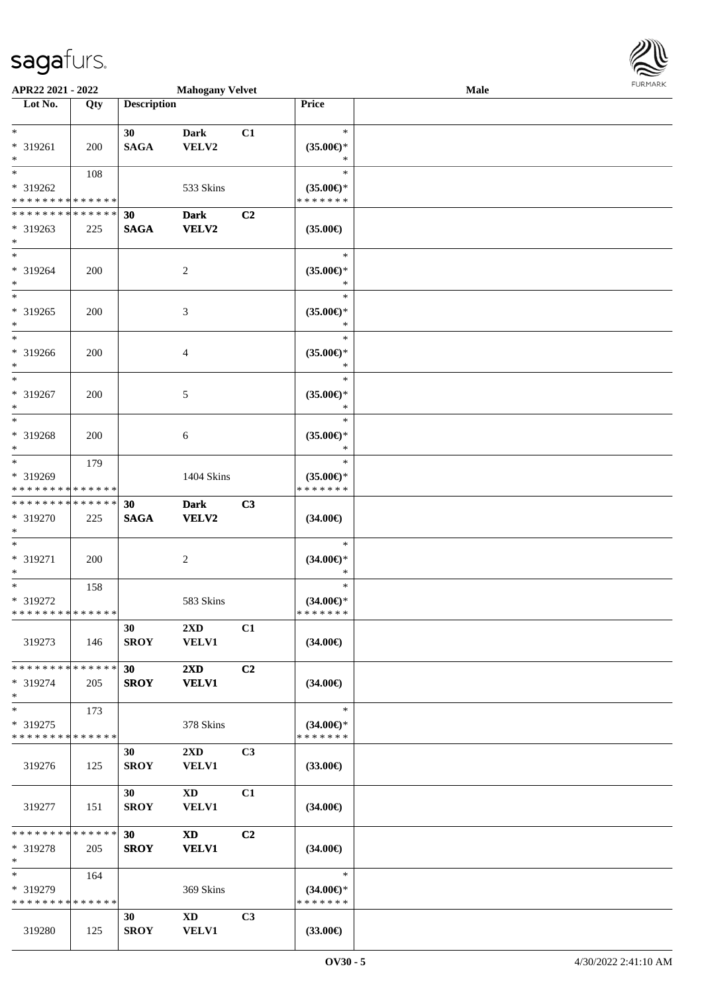

| APR22 2021 - 2022             |     |                    | <b>Mahogany Velvet</b>  |                |                     | Male |  |
|-------------------------------|-----|--------------------|-------------------------|----------------|---------------------|------|--|
| Lot No.                       | Qty | <b>Description</b> |                         |                | Price               |      |  |
|                               |     |                    |                         |                |                     |      |  |
| $*$                           |     | 30                 | <b>Dark</b>             | C1             | $\ast$              |      |  |
| * 319261                      | 200 | <b>SAGA</b>        | VELV2                   |                | $(35.00\epsilon)$ * |      |  |
| $*$                           |     |                    |                         |                | $\ast$              |      |  |
| $*$                           |     |                    |                         |                | $\ast$              |      |  |
|                               | 108 |                    |                         |                |                     |      |  |
| * 319262                      |     |                    | 533 Skins               |                | $(35.00\epsilon)$ * |      |  |
| * * * * * * * * * * * * * *   |     |                    |                         |                | * * * * * * *       |      |  |
| * * * * * * * * * * * * * * * |     | 30                 | <b>Dark</b>             | C <sub>2</sub> |                     |      |  |
| * 319263                      | 225 | <b>SAGA</b>        | <b>VELV2</b>            |                | $(35.00\epsilon)$   |      |  |
| $*$                           |     |                    |                         |                |                     |      |  |
| $*$                           |     |                    |                         |                | $\ast$              |      |  |
| * 319264                      | 200 |                    | 2                       |                | $(35.00\in)\!\!^*$  |      |  |
| $*$                           |     |                    |                         |                | $\ast$              |      |  |
| $*$                           |     |                    |                         |                | $\ast$              |      |  |
|                               |     |                    |                         |                |                     |      |  |
| * 319265                      | 200 |                    | 3                       |                | $(35.00\epsilon)$ * |      |  |
| $*$                           |     |                    |                         |                | $\ast$              |      |  |
| $*$                           |     |                    |                         |                | $\ast$              |      |  |
| * 319266                      | 200 |                    | $\overline{4}$          |                | $(35.00\epsilon)$ * |      |  |
| $*$                           |     |                    |                         |                | $\ast$              |      |  |
| $*$                           |     |                    |                         |                | $\ast$              |      |  |
| * 319267                      | 200 |                    | 5                       |                | $(35.00\epsilon)$ * |      |  |
| $*$                           |     |                    |                         |                | $\ast$              |      |  |
| $*$                           |     |                    |                         |                | $\ast$              |      |  |
|                               |     |                    |                         |                |                     |      |  |
| * 319268                      | 200 |                    | 6                       |                | $(35.00\epsilon)$ * |      |  |
| $*$                           |     |                    |                         |                | $\ast$              |      |  |
| $*$                           | 179 |                    |                         |                | $\ast$              |      |  |
| * 319269                      |     |                    | 1404 Skins              |                | $(35.00\epsilon)$ * |      |  |
| * * * * * * * * * * * * * *   |     |                    |                         |                | * * * * * * *       |      |  |
| * * * * * * * * * * * * * * * |     | 30                 | <b>Dark</b>             | C3             |                     |      |  |
| * 319270                      | 225 | <b>SAGA</b>        | VELV2                   |                | $(34.00\epsilon)$   |      |  |
| $*$                           |     |                    |                         |                |                     |      |  |
| $\ast$                        |     |                    |                         |                | $\ast$              |      |  |
| * 319271                      | 200 |                    | $\overline{c}$          |                | $(34.00\epsilon)$ * |      |  |
| $*$                           |     |                    |                         |                | $\ast$              |      |  |
| $*$                           | 158 |                    |                         |                | $\ast$              |      |  |
| * 319272                      |     |                    | 583 Skins               |                | $(34.00\epsilon)$ * |      |  |
| * * * * * * * * * * * * * * * |     |                    |                         |                | *******             |      |  |
|                               |     |                    |                         |                |                     |      |  |
|                               |     | 30                 | 2XD                     | C1             |                     |      |  |
| 319273                        | 146 | <b>SROY</b>        | <b>VELV1</b>            |                | $(34.00\epsilon)$   |      |  |
|                               |     |                    |                         |                |                     |      |  |
| * * * * * * * * * * * * * * * |     | 30                 | $2\mathbf{X}\mathbf{D}$ | C2             |                     |      |  |
| * 319274                      | 205 | <b>SROY</b>        | <b>VELV1</b>            |                | $(34.00\epsilon)$   |      |  |
| $*$                           |     |                    |                         |                |                     |      |  |
| $*$                           | 173 |                    |                         |                | $\ast$              |      |  |
| * 319275                      |     |                    | 378 Skins               |                | $(34.00\epsilon)$ * |      |  |
| * * * * * * * * * * * * * *   |     |                    |                         |                | * * * * * * *       |      |  |
|                               |     | 30                 | $2\mathbf{X}\mathbf{D}$ | C <sub>3</sub> |                     |      |  |
|                               |     |                    |                         |                |                     |      |  |
| 319276                        | 125 | <b>SROY</b>        | <b>VELV1</b>            |                | $(33.00\epsilon)$   |      |  |
|                               |     |                    |                         |                |                     |      |  |
|                               |     | 30                 | $\mathbf{X}\mathbf{D}$  | C1             |                     |      |  |
| 319277                        | 151 | <b>SROY</b>        | <b>VELV1</b>            |                | $(34.00\epsilon)$   |      |  |
|                               |     |                    |                         |                |                     |      |  |
| * * * * * * * * * * * * * * * |     | 30 <sup>2</sup>    | <b>XD</b>               | C2             |                     |      |  |
| * 319278                      | 205 | <b>SROY</b>        | <b>VELV1</b>            |                | $(34.00\epsilon)$   |      |  |
| $*$                           |     |                    |                         |                |                     |      |  |
| $\ast$                        | 164 |                    |                         |                | $\ast$              |      |  |
| * 319279                      |     |                    | 369 Skins               |                | $(34.00\epsilon)$ * |      |  |
| * * * * * * * * * * * * * *   |     |                    |                         |                | * * * * * * *       |      |  |
|                               |     | 30                 | $\mathbf{X}\mathbf{D}$  | C3             |                     |      |  |
| 319280                        |     |                    |                         |                |                     |      |  |
|                               | 125 | <b>SROY</b>        | <b>VELV1</b>            |                | $(33.00\epsilon)$   |      |  |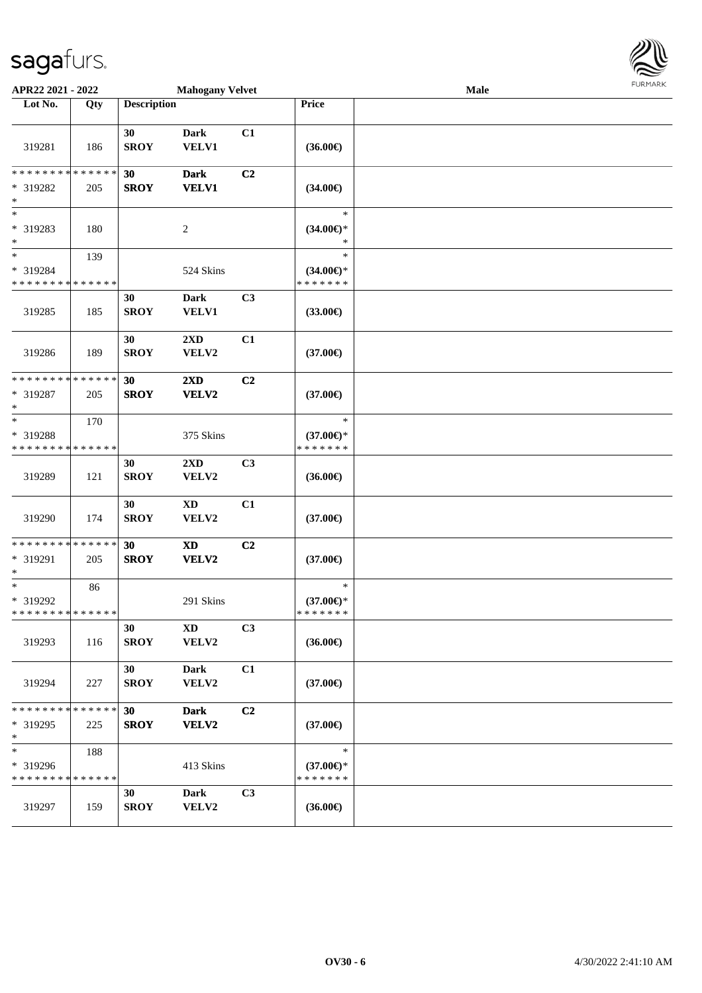| APR22 2021 - 2022                                                                  |     |                                | <b>Mahogany Velvet</b>              |                |                                                | Male |  |  |
|------------------------------------------------------------------------------------|-----|--------------------------------|-------------------------------------|----------------|------------------------------------------------|------|--|--|
| Lot No.                                                                            | Qty | <b>Description</b>             |                                     |                | <b>Price</b>                                   |      |  |  |
| 319281                                                                             | 186 | 30<br><b>SROY</b>              | <b>Dark</b><br>VELV1                | C1             | $(36.00\epsilon)$                              |      |  |  |
| * * * * * * * * * * * * * *<br>* 319282<br>$*$                                     | 205 | 30<br><b>SROY</b>              | <b>Dark</b><br><b>VELV1</b>         | C2             | $(34.00\epsilon)$                              |      |  |  |
| $*$<br>* 319283<br>$*$                                                             | 180 |                                | 2                                   |                | $\ast$<br>$(34.00\epsilon)$ *<br>$\ast$        |      |  |  |
| $*$<br>* 319284<br>* * * * * * * * <mark>* * * * * * *</mark>                      | 139 |                                | 524 Skins                           |                | $\ast$<br>$(34.00\epsilon)$ *<br>* * * * * * * |      |  |  |
| 319285                                                                             | 185 | 30<br><b>SROY</b>              | <b>Dark</b><br>VELV1                | C3             | $(33.00\epsilon)$                              |      |  |  |
| 319286                                                                             | 189 | 30<br><b>SROY</b>              | 2XD<br>VELV2                        | C1             | $(37.00\epsilon)$                              |      |  |  |
| * * * * * * * * <mark>* * * * * * *</mark><br>* 319287<br>$\ast$                   | 205 | 30<br><b>SROY</b>              | 2XD<br>VELV2                        | C2             | $(37.00\epsilon)$                              |      |  |  |
| $\ast$<br>* 319288<br>* * * * * * * * * * * * * *                                  | 170 |                                | 375 Skins                           |                | $\ast$<br>$(37.00\epsilon)$ *<br>* * * * * * * |      |  |  |
| 319289                                                                             | 121 | 30<br><b>SROY</b>              | 2XD<br>VELV2                        | C3             | $(36.00\epsilon)$                              |      |  |  |
| 319290                                                                             | 174 | 30<br><b>SROY</b>              | <b>XD</b><br>VELV2                  | C1             | $(37.00\epsilon)$                              |      |  |  |
| * * * * * * * * * * * * * *<br>* 319291<br>$\ast$                                  | 205 | 30<br><b>SROY</b>              | $\boldsymbol{\mathrm{XD}}$<br>VELV2 | C <sub>2</sub> | $(37.00\epsilon)$                              |      |  |  |
| $\overline{\phantom{0}}$<br>* 319292<br>* * * * * * * * <mark>* * * * * * *</mark> | 86  |                                | 291 Skins                           |                | $\ast$<br>$(37.00\epsilon)$ *<br>* * * * * * * |      |  |  |
| 319293                                                                             | 116 | 30<br><b>SROY</b>              | XD<br>VELV2                         | C3             | $(36.00\epsilon)$                              |      |  |  |
| 319294                                                                             | 227 | 30<br><b>SROY</b>              | <b>Dark</b><br><b>VELV2</b>         | C1             | $(37.00\epsilon)$                              |      |  |  |
| * * * * * * * * * * * * * *<br>* 319295<br>$*$                                     | 225 | 30 <sup>°</sup><br><b>SROY</b> | <b>Dark</b><br><b>VELV2</b>         | C2             | $(37.00\epsilon)$                              |      |  |  |
| $\ast$<br>* 319296<br>* * * * * * * * * * * * * *                                  | 188 |                                | 413 Skins                           |                | $\ast$<br>$(37.00\epsilon)$ *<br>* * * * * * * |      |  |  |
| 319297                                                                             | 159 | 30<br><b>SROY</b>              | <b>Dark</b><br>VELV2                | C3             | $(36.00\epsilon)$                              |      |  |  |

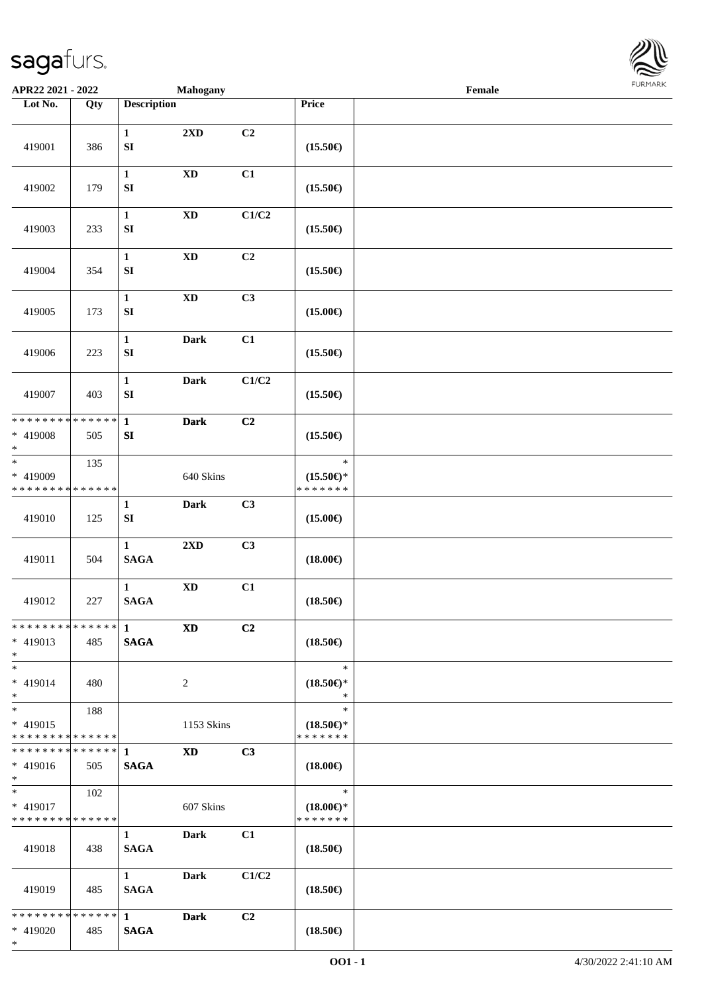\*



| APR22 2021 - 2022                                      |                    |                                       | <b>Mahogany</b>        |       |                                                | Female |  |
|--------------------------------------------------------|--------------------|---------------------------------------|------------------------|-------|------------------------------------------------|--------|--|
| Lot No.                                                | Qty                | <b>Description</b>                    |                        |       | Price                                          |        |  |
| 419001                                                 | 386                | $\mathbf{1}$<br>${\bf S}{\bf I}$      | 2XD                    | C2    | $(15.50\epsilon)$                              |        |  |
| 419002                                                 | 179                | $\mathbf{1}$<br>${\bf S}{\bf I}$      | $\mathbf{X}\mathbf{D}$ | C1    | $(15.50\epsilon)$                              |        |  |
| 419003                                                 | 233                | $\mathbf{1}$<br>${\bf S}{\bf I}$      | $\mathbf{X}\mathbf{D}$ | C1/C2 | $(15.50\epsilon)$                              |        |  |
| 419004                                                 | 354                | $\mathbf{1}$<br>${\bf S}{\bf I}$      | $\mathbf{X}\mathbf{D}$ | C2    | $(15.50\in)$                                   |        |  |
| 419005                                                 | 173                | $\mathbf{1}$<br>SI                    | $\mathbf{X}\mathbf{D}$ | C3    | $(15.00\epsilon)$                              |        |  |
| 419006                                                 | 223                | $\mathbf 1$<br>${\bf S}{\bf I}$       | <b>Dark</b>            | C1    | $(15.50\epsilon)$                              |        |  |
| 419007                                                 | 403                | $\mathbf{1}$<br>${\bf S}{\bf I}$      | <b>Dark</b>            | C1/C2 | $(15.50\epsilon)$                              |        |  |
| * * * * * * * *<br>* 419008<br>$\ast$                  | * * * * * *<br>505 | $\mathbf{1}$<br>${\bf S}{\bf I}$      | <b>Dark</b>            | C2    | $(15.50\epsilon)$                              |        |  |
| $\ast$<br>* 419009<br>* * * * * * * *                  | 135<br>* * * * * * |                                       | 640 Skins              |       | $\ast$<br>$(15.50\epsilon)$ *<br>* * * * * * * |        |  |
| 419010                                                 | 125                | $\mathbf{1}$<br>${\bf S}{\bf I}$      | <b>Dark</b>            | C3    | $(15.00\epsilon)$                              |        |  |
| 419011                                                 | 504                | $\mathbf{1}$<br><b>SAGA</b>           | 2XD                    | C3    | $(18.00\in)$                                   |        |  |
| 419012                                                 | 227                | $\mathbf{1}$<br><b>SAGA</b>           | $\mathbf{X}\mathbf{D}$ | C1    | $(18.50\epsilon)$                              |        |  |
| * * * * * * * * * * * * * * *<br>* 419013<br>$*$       | 485                | $\mathbf 1$<br><b>SAGA</b>            | <b>XD</b>              | C2    | $(18.50\epsilon)$                              |        |  |
| $*$<br>* 419014<br>$*$                                 | 480                |                                       | $\overline{2}$         |       | $\ast$<br>$(18.50\epsilon)$ *<br>$\ast$        |        |  |
| $*$<br>* 419015<br>* * * * * * * * * * * * * *         | 188                |                                       | 1153 Skins             |       | $\ast$<br>$(18.50\epsilon)$ *<br>* * * * * * * |        |  |
| ************** 1<br>* 419016<br>$*$ $*$                | 505                | <b>SAGA</b>                           | <b>XD</b>              | C3    | $(18.00\epsilon)$                              |        |  |
| $*$ and $*$<br>* 419017<br>* * * * * * * * * * * * * * | 102                |                                       | 607 Skins              |       | $\ast$<br>$(18.00\epsilon)$ *<br>* * * * * * * |        |  |
| 419018                                                 | 438                | $\mathbf{1}$<br><b>SAGA</b>           | Dark                   | C1    | $(18.50\epsilon)$                              |        |  |
| 419019                                                 | 485                | $1 \quad \blacksquare$<br><b>SAGA</b> | Dark                   | C1/C2 | $(18.50\epsilon)$                              |        |  |
| * * * * * * * * * * * * * * *                          |                    | $\mathbf{1}$                          | Dark                   | C2    |                                                |        |  |
| * 419020                                               | 485                | <b>SAGA</b>                           |                        |       | $(18.50\epsilon)$                              |        |  |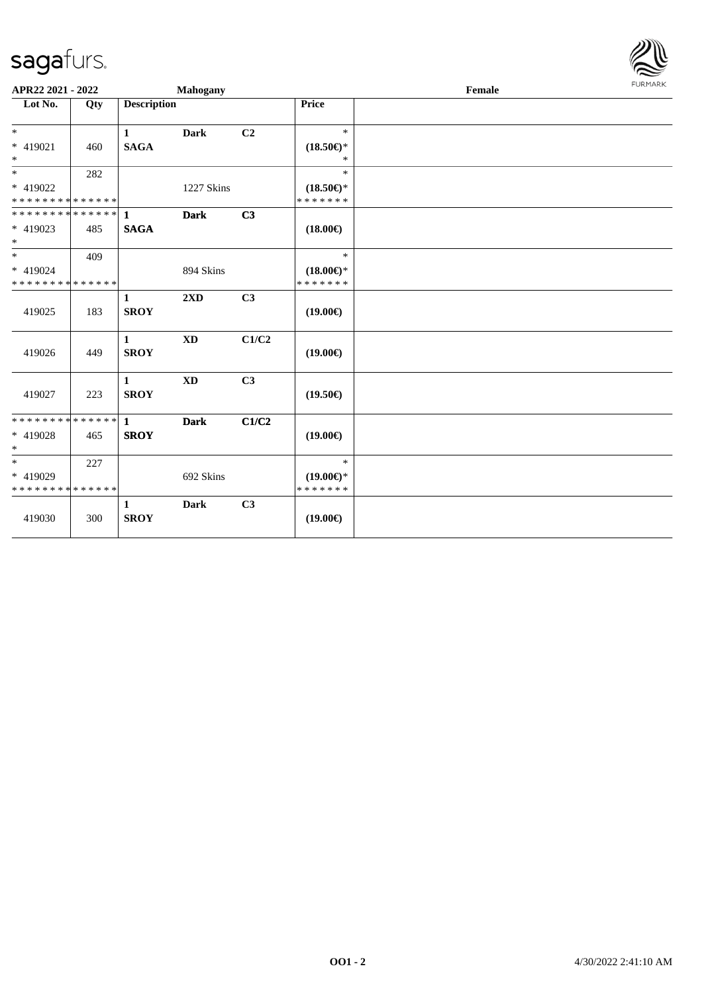

| APR22 2021 - 2022                                   |     |                             | <b>Mahogany</b>        |                |                                      | Female | FURMARK |
|-----------------------------------------------------|-----|-----------------------------|------------------------|----------------|--------------------------------------|--------|---------|
| Lot No.                                             | Qty | <b>Description</b>          |                        |                | Price                                |        |         |
| $*$                                                 |     | $\mathbf{1}$                | Dark                   | C <sub>2</sub> | $\ast$                               |        |         |
| * 419021<br>$\ast$                                  | 460 | <b>SAGA</b>                 |                        |                | $(18.50\epsilon)$ *<br>$\ast$        |        |         |
| $*$                                                 | 282 |                             |                        |                | $\ast$                               |        |         |
| * 419022<br>* * * * * * * * * * * * * *             |     |                             | 1227 Skins             |                | $(18.50\epsilon)$ *<br>* * * * * * * |        |         |
| * * * * * * * * * * * * * * *                       |     | $\mathbf{1}$                | <b>Dark</b>            | C3             |                                      |        |         |
| * 419023<br>$*$                                     | 485 | <b>SAGA</b>                 |                        |                | $(18.00\epsilon)$                    |        |         |
| $*$                                                 | 409 |                             |                        |                | $\ast$                               |        |         |
| * 419024<br>* * * * * * * * * * * * * *             |     |                             | 894 Skins              |                | $(18.00\epsilon)$ *<br>* * * * * * * |        |         |
| 419025                                              | 183 | 1<br><b>SROY</b>            | 2XD                    | C3             | $(19.00\epsilon)$                    |        |         |
| 419026                                              | 449 | $\mathbf{1}$<br><b>SROY</b> | <b>XD</b>              | C1/C2          | $(19.00\epsilon)$                    |        |         |
| 419027                                              | 223 | $\mathbf{1}$<br><b>SROY</b> | $\mathbf{X}\mathbf{D}$ | C3             | $(19.50\epsilon)$                    |        |         |
| * * * * * * * * * * * * * * *<br>* 419028<br>$\ast$ | 465 | $\mathbf{1}$<br><b>SROY</b> | <b>Dark</b>            | C1/C2          | $(19.00\epsilon)$                    |        |         |
| $*$                                                 | 227 |                             |                        |                | $\ast$                               |        |         |
| * 419029<br>* * * * * * * * * * * * * *             |     |                             | 692 Skins              |                | $(19.00\epsilon)$ *<br>* * * * * * * |        |         |
| 419030                                              | 300 | 1<br><b>SROY</b>            | <b>Dark</b>            | C3             | $(19.00\epsilon)$                    |        |         |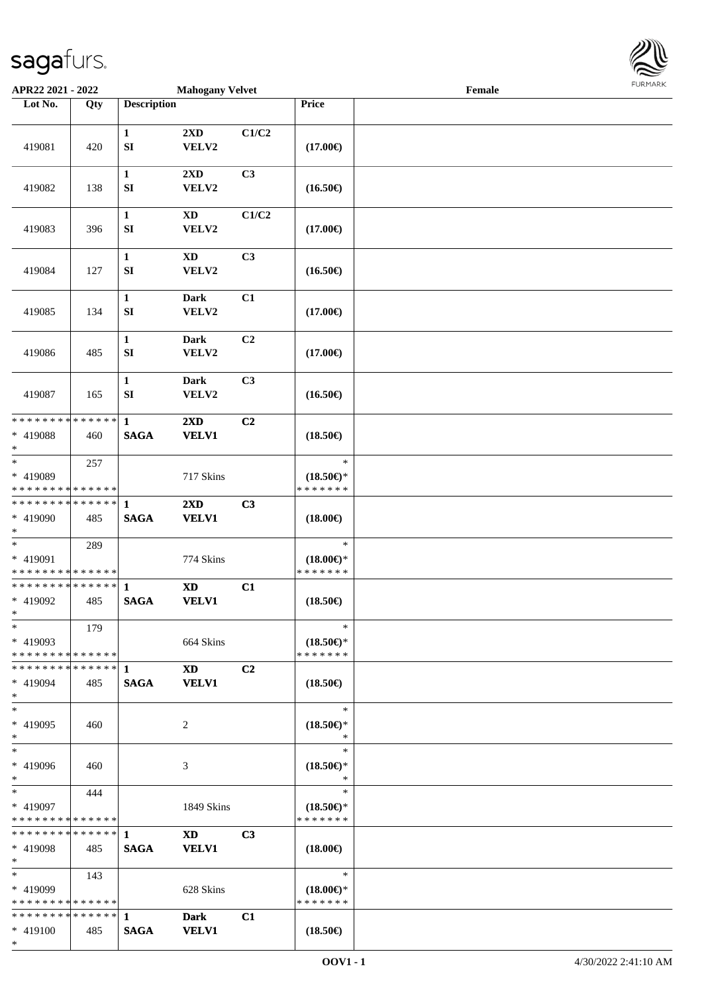

| APR22 2021 - 2022                                    |               |                                  | <b>Mahogany Velvet</b>                  |                |                                                | Female |  |
|------------------------------------------------------|---------------|----------------------------------|-----------------------------------------|----------------|------------------------------------------------|--------|--|
| Lot No.                                              | Qty           | <b>Description</b>               |                                         |                | Price                                          |        |  |
| 419081                                               | 420           | $\mathbf 1$<br>${\bf S}{\bf I}$  | 2XD<br>VELV2                            | C1/C2          | $(17.00\epsilon)$                              |        |  |
| 419082                                               | 138           | $\mathbf{1}$<br>${\bf S}{\bf I}$ | 2XD<br>VELV2                            | C3             | $(16.50\epsilon)$                              |        |  |
| 419083                                               | 396           | $\mathbf{1}$<br>SI               | <b>XD</b><br>VELV2                      | C1/C2          | $(17.00\epsilon)$                              |        |  |
| 419084                                               | 127           | $\mathbf{1}$<br>${\bf S}{\bf I}$ | <b>XD</b><br>VELV2                      | C3             | $(16.50\epsilon)$                              |        |  |
| 419085                                               | 134           | 1<br>SI                          | <b>Dark</b><br>VELV2                    | C1             | $(17.00\epsilon)$                              |        |  |
| 419086                                               | 485           | $\mathbf{1}$<br>SI               | <b>Dark</b><br>VELV2                    | C <sub>2</sub> | $(17.00\epsilon)$                              |        |  |
| 419087                                               | 165           | $\mathbf{1}$<br>SI               | <b>Dark</b><br>VELV2                    | C3             | $(16.50\epsilon)$                              |        |  |
| * * * * * * * *<br>* 419088<br>$\ast$                | ******<br>460 | $\mathbf{1}$<br><b>SAGA</b>      | $2\mathbf{X}\mathbf{D}$<br><b>VELV1</b> | C <sub>2</sub> | $(18.50\epsilon)$                              |        |  |
| $*$<br>* 419089<br>* * * * * * * * * * * * * *       | 257           |                                  | 717 Skins                               |                | $\ast$<br>$(18.50\epsilon)$ *<br>* * * * * * * |        |  |
| * * * * * * * * * * * * * * *<br>* 419090<br>$*$     | 485           | 1<br><b>SAGA</b>                 | $2\mathbf{X}\mathbf{D}$<br><b>VELV1</b> | C3             | $(18.00\epsilon)$                              |        |  |
| $*$<br>* 419091<br>* * * * * * * * * * * * * *       | 289           |                                  | 774 Skins                               |                | $\ast$<br>$(18.00\epsilon)$ *<br>* * * * * * * |        |  |
| * * * * * * * * * * * * * * *<br>* 419092<br>$*$ $-$ | 485           | $\mathbf{1}$<br><b>SAGA</b>      | $\mathbf{X}\mathbf{D}$<br><b>VELV1</b>  | C1             | $(18.50\epsilon)$                              |        |  |
| $*$<br>* 419093<br>* * * * * * * * * * * * * * *     | 179           |                                  | 664 Skins                               |                | $\ast$<br>$(18.50\epsilon)$ *<br>* * * * * * * |        |  |
| * * * * * * * * * * * * * * *<br>* 419094<br>$*$     | 485           | $\mathbf{1}$<br><b>SAGA</b>      | <b>XD</b><br><b>VELV1</b>               | C <sub>2</sub> | $(18.50\epsilon)$                              |        |  |
| $*$<br>* 419095<br>$*$<br>$\ast$                     | 460           |                                  | 2                                       |                | $\ast$<br>$(18.50\epsilon)$ *<br>$\ast$        |        |  |
| * 419096<br>$*$<br>$*$                               | 460           |                                  | 3                                       |                | $\ast$<br>$(18.50\epsilon)$ *<br>$\ast$        |        |  |
| * 419097<br>* * * * * * * * * * * * * *              | 444           |                                  | 1849 Skins                              |                | $\ast$<br>$(18.50\epsilon)$ *<br>* * * * * * * |        |  |
| * * * * * * * * * * * * * * *<br>* 419098<br>$*$     | 485           | $\mathbf{1}$<br><b>SAGA</b>      | <b>XD</b><br><b>VELV1</b>               | C <sub>3</sub> | $(18.00\epsilon)$                              |        |  |
| $*$ $*$<br>* 419099<br>* * * * * * * * * * * * * *   | 143           |                                  | 628 Skins                               |                | $\ast$<br>$(18.00\epsilon)$ *<br>* * * * * * * |        |  |
| * * * * * * * * * * * * * * *<br>$* 419100$<br>$*$   | 485           | $\mathbf{1}$<br><b>SAGA</b>      | <b>Dark</b><br><b>VELV1</b>             | C1             | $(18.50\epsilon)$                              |        |  |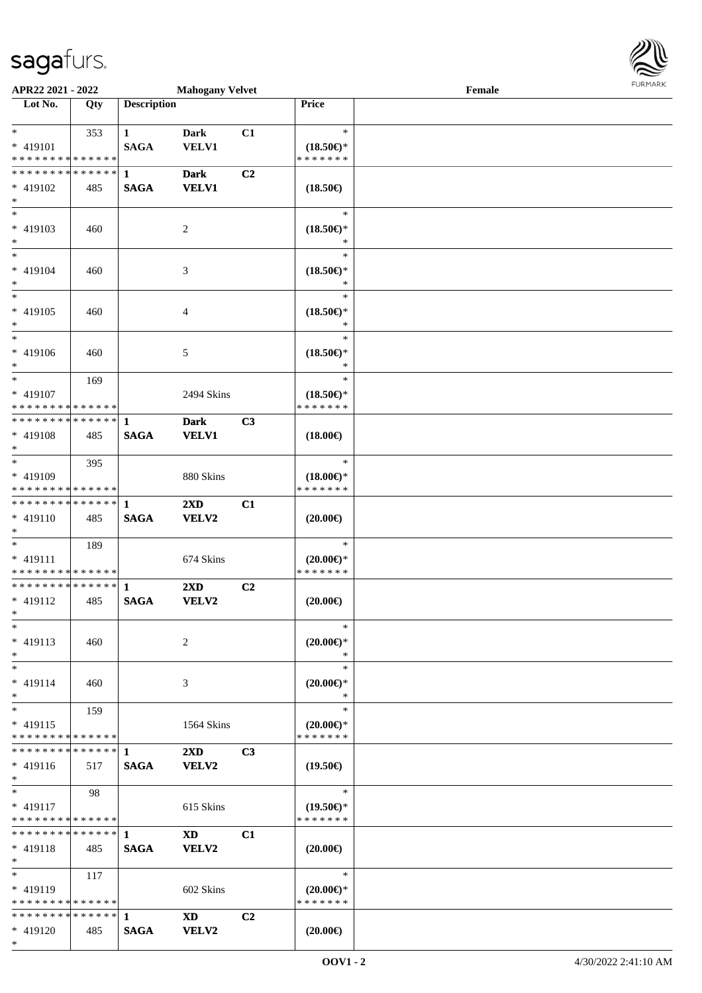

| APR22 2021 - 2022                                                       |     |                    | <b>Mahogany Velvet</b>  |                |                                      | Female |  |
|-------------------------------------------------------------------------|-----|--------------------|-------------------------|----------------|--------------------------------------|--------|--|
| Lot No.                                                                 | Qty | <b>Description</b> |                         |                | <b>Price</b>                         |        |  |
|                                                                         |     |                    |                         |                |                                      |        |  |
| $*$ $-$                                                                 | 353 | $\mathbf{1}$       | <b>Dark</b>             | C1             | $\ast$                               |        |  |
| * 419101                                                                |     | <b>SAGA</b>        | <b>VELV1</b>            |                | $(18.50\epsilon)$ *                  |        |  |
| * * * * * * * * <mark>* * * * * * *</mark>                              |     |                    |                         |                | * * * * * * *                        |        |  |
| * * * * * * * * * * * * * * <mark>*</mark>                              |     | $\mathbf{1}$       | <b>Dark</b>             | C2             |                                      |        |  |
| * 419102                                                                | 485 | <b>SAGA</b>        | <b>VELV1</b>            |                | $(18.50\epsilon)$                    |        |  |
| $*$                                                                     |     |                    |                         |                |                                      |        |  |
| $\overline{\phantom{0}}$                                                |     |                    |                         |                | $\ast$                               |        |  |
| $* 419103$                                                              | 460 |                    | 2                       |                | $(18.50\epsilon)$ *                  |        |  |
| $*$                                                                     |     |                    |                         |                |                                      |        |  |
| $\overline{\ast}$                                                       |     |                    |                         |                | $\ast$                               |        |  |
| * 419104                                                                | 460 |                    | 3                       |                | $(18.50\epsilon)$ *                  |        |  |
| $*$                                                                     |     |                    |                         |                | $\ast$                               |        |  |
| $\ast$                                                                  |     |                    |                         |                | $\ast$                               |        |  |
| * 419105                                                                | 460 |                    | $\overline{4}$          |                | $(18.50\epsilon)$ *                  |        |  |
| $*$                                                                     |     |                    |                         |                | $\ast$                               |        |  |
| $\ast$                                                                  |     |                    |                         |                | $\ast$                               |        |  |
| * 419106                                                                | 460 |                    | 5                       |                | $(18.50\epsilon)$ *                  |        |  |
| $*$                                                                     |     |                    |                         |                | $\ast$                               |        |  |
| $*$                                                                     | 169 |                    |                         |                | $\ast$                               |        |  |
| * 419107                                                                |     |                    | 2494 Skins              |                | $(18.50\epsilon)$ *                  |        |  |
| * * * * * * * * * * * * * *                                             |     |                    |                         |                | * * * * * * *                        |        |  |
| * * * * * * * * <mark>* * * * * *</mark>                                |     | 1                  | <b>Dark</b>             | C3             |                                      |        |  |
| * 419108                                                                | 485 | <b>SAGA</b>        | <b>VELV1</b>            |                | $(18.00\epsilon)$                    |        |  |
| $*$<br>$\ddot{x}$                                                       |     |                    |                         |                |                                      |        |  |
|                                                                         | 395 |                    |                         |                | $\ast$                               |        |  |
| * 419109                                                                |     |                    | 880 Skins               |                | $(18.00\epsilon)$ *<br>* * * * * * * |        |  |
| * * * * * * * * * * * * * *<br>* * * * * * * * <mark>* * * * * *</mark> |     |                    |                         |                |                                      |        |  |
|                                                                         |     | 1                  | $2\mathbf{X}\mathbf{D}$ | C1             |                                      |        |  |
| * 419110<br>$*$                                                         | 485 | <b>SAGA</b>        | VELV2                   |                | $(20.00\epsilon)$                    |        |  |
| $*$                                                                     |     |                    |                         |                | $\ast$                               |        |  |
| $* 419111$                                                              | 189 |                    |                         |                |                                      |        |  |
| * * * * * * * * <mark>* * * * * *</mark>                                |     |                    | 674 Skins               |                | $(20.00\epsilon)$ *<br>* * * * * * * |        |  |
| * * * * * * * * * * * * * * <mark>*</mark>                              |     | $\mathbf{1}$       | $2\mathbf{X}\mathbf{D}$ | C2             |                                      |        |  |
| * 419112                                                                | 485 | <b>SAGA</b>        | <b>VELV2</b>            |                | $(20.00\epsilon)$                    |        |  |
| $*$ $-$                                                                 |     |                    |                         |                |                                      |        |  |
| $*$                                                                     |     |                    |                         |                | $\ast$                               |        |  |
| * 419113                                                                | 460 |                    | 2                       |                | $(20.00\epsilon)$ *                  |        |  |
| $*$                                                                     |     |                    |                         |                | $\ast$                               |        |  |
| $\ast$                                                                  |     |                    |                         |                | $\ast$                               |        |  |
| * 419114                                                                | 460 |                    | 3                       |                | $(20.00\varepsilon)$ *               |        |  |
| $\ast$                                                                  |     |                    |                         |                | $\ast$                               |        |  |
| $*$                                                                     | 159 |                    |                         |                | $\ast$                               |        |  |
| $* 419115$                                                              |     |                    | 1564 Skins              |                | $(20.00\epsilon)$ *                  |        |  |
| * * * * * * * * * * * * * *                                             |     |                    |                         |                | * * * * * * *                        |        |  |
|                                                                         |     |                    | $2\mathbf{X}\mathbf{D}$ | C <sub>3</sub> |                                      |        |  |
| $* 419116$                                                              | 517 | <b>SAGA</b>        | VELV2                   |                | $(19.50\epsilon)$                    |        |  |
| $*$                                                                     |     |                    |                         |                |                                      |        |  |
| $*$                                                                     | 98  |                    |                         |                | $\ast$                               |        |  |
| $* 419117$                                                              |     |                    | 615 Skins               |                | $(19.50\epsilon)$ *                  |        |  |
| * * * * * * * * * * * * * * *                                           |     |                    |                         |                | * * * * * * *                        |        |  |
| * * * * * * * * * * * * * * *                                           |     | $\mathbf{1}$       | <b>XD</b>               | C1             |                                      |        |  |
| * 419118                                                                | 485 | <b>SAGA</b>        | <b>VELV2</b>            |                | $(20.00\epsilon)$                    |        |  |
| $\ast$                                                                  |     |                    |                         |                |                                      |        |  |
| $*$ $-$                                                                 | 117 |                    |                         |                | $\ast$                               |        |  |
| $* 419119$                                                              |     |                    | 602 Skins               |                | $(20.00\epsilon)$ *                  |        |  |
| * * * * * * * * * * * * * * *                                           |     |                    |                         |                | * * * * * * *                        |        |  |
| ******** <mark>******</mark>                                            |     | $\mathbf{1}$       | XD <b>Solution</b>      | C <sub>2</sub> |                                      |        |  |
| * 419120                                                                | 485 | <b>SAGA</b>        | VELV2                   |                | $(20.00\epsilon)$                    |        |  |
| $*$                                                                     |     |                    |                         |                |                                      |        |  |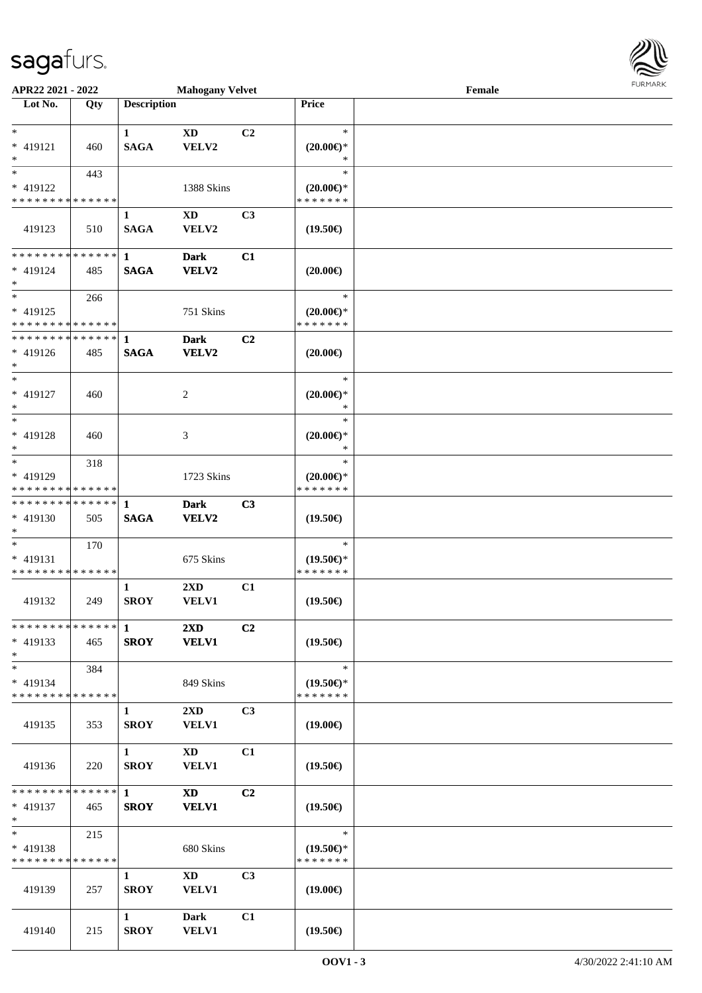

| APR22 2021 - 2022             |     |                        | <b>Mahogany Velvet</b>  |                |                               | Female |  |
|-------------------------------|-----|------------------------|-------------------------|----------------|-------------------------------|--------|--|
| Lot No.                       | Qty | <b>Description</b>     |                         |                | Price                         |        |  |
|                               |     |                        |                         |                |                               |        |  |
| $\ast$                        |     | $\mathbf{1}$           | XD                      | C2             | $\ast$                        |        |  |
| * 419121                      | 460 | <b>SAGA</b>            | VELV2                   |                | $(20.00\epsilon)$ *           |        |  |
| $*$                           |     |                        |                         |                | ∗                             |        |  |
| $*$                           | 443 |                        |                         |                | $\ast$                        |        |  |
| * 419122                      |     |                        | 1388 Skins              |                | $(20.00\epsilon)$ *           |        |  |
| * * * * * * * * * * * * * *   |     |                        |                         |                | * * * * * * *                 |        |  |
|                               |     | $\mathbf{1}$           | XD                      | C <sub>3</sub> |                               |        |  |
| 419123                        | 510 | <b>SAGA</b>            | VELV2                   |                | $(19.50\epsilon)$             |        |  |
|                               |     |                        |                         |                |                               |        |  |
| ******** <mark>******</mark>  |     | $\mathbf{1}$           | <b>Dark</b>             | C1             |                               |        |  |
| * 419124                      | 485 | <b>SAGA</b>            | VELV2                   |                | $(20.00\epsilon)$             |        |  |
| $*$                           |     |                        |                         |                |                               |        |  |
| $*$                           | 266 |                        |                         |                | $\ast$                        |        |  |
| * 419125                      |     |                        | 751 Skins               |                | $(20.00\epsilon)$ *           |        |  |
| * * * * * * * * * * * * * * * |     |                        |                         |                | * * * * * * *                 |        |  |
| * * * * * * * * * * * * * * * |     | $\mathbf{1}$           | <b>Dark</b>             | C2             |                               |        |  |
| * 419126                      | 485 | <b>SAGA</b>            | VELV2                   |                | $(20.00\epsilon)$             |        |  |
| $*$                           |     |                        |                         |                |                               |        |  |
| $*$                           |     |                        |                         |                | $\ast$                        |        |  |
|                               |     |                        |                         |                |                               |        |  |
| * 419127<br>$*$               | 460 |                        | 2                       |                | $(20.00\epsilon)$ *<br>$\ast$ |        |  |
| $*$                           |     |                        |                         |                | $\ast$                        |        |  |
|                               |     |                        |                         |                |                               |        |  |
| * 419128                      | 460 |                        | 3                       |                | $(20.00\varepsilon)$ *        |        |  |
| $\ast$                        |     |                        |                         |                | $\ast$                        |        |  |
| $*$                           | 318 |                        |                         |                | $\ast$                        |        |  |
| * 419129                      |     |                        | 1723 Skins              |                | $(20.00\epsilon)$ *           |        |  |
| * * * * * * * * * * * * * *   |     |                        |                         |                | * * * * * * *                 |        |  |
| * * * * * * * * * * * * * * * |     | 1                      | <b>Dark</b>             | C3             |                               |        |  |
| * 419130                      | 505 | <b>SAGA</b>            | VELV2                   |                | $(19.50\epsilon)$             |        |  |
| $*$                           |     |                        |                         |                |                               |        |  |
| $*$                           | 170 |                        |                         |                | $\ast$                        |        |  |
| * 419131                      |     |                        | 675 Skins               |                | $(19.50\epsilon)$ *           |        |  |
| * * * * * * * * * * * * * *   |     |                        |                         |                | * * * * * * *                 |        |  |
|                               |     | $\mathbf{1}$           | $2\mathbf{X}\mathbf{D}$ | C1             |                               |        |  |
| 419132                        | 249 | <b>SROY</b>            | <b>VELV1</b>            |                | $(19.50\epsilon)$             |        |  |
|                               |     |                        |                         |                |                               |        |  |
|                               |     |                        | 2XD                     | C <sub>2</sub> |                               |        |  |
| * 419133                      | 465 | <b>SROY</b>            | <b>VELV1</b>            |                | $(19.50\epsilon)$             |        |  |
| $*$                           |     |                        |                         |                |                               |        |  |
| $*$                           | 384 |                        |                         |                | $\ast$                        |        |  |
| * 419134                      |     |                        | 849 Skins               |                | $(19.50\epsilon)$ *           |        |  |
| * * * * * * * * * * * * * * * |     |                        |                         |                | * * * * * * *                 |        |  |
|                               |     | 1                      | $2\mathbf{X}\mathbf{D}$ | C <sub>3</sub> |                               |        |  |
| 419135                        | 353 | <b>SROY</b>            | <b>VELV1</b>            |                | $(19.00\epsilon)$             |        |  |
|                               |     |                        |                         |                |                               |        |  |
|                               |     | $1 \quad \blacksquare$ | $\mathbf{X}\mathbf{D}$  | C1             |                               |        |  |
| 419136                        | 220 | <b>SROY</b>            | <b>VELV1</b>            |                | $(19.50\epsilon)$             |        |  |
|                               |     |                        |                         |                |                               |        |  |
| * * * * * * * * * * * * * * * |     | $\mathbf{1}$           | $\mathbf{X}\mathbf{D}$  | C <sub>2</sub> |                               |        |  |
| * 419137                      | 465 | <b>SROY</b>            | <b>VELV1</b>            |                | $(19.50\epsilon)$             |        |  |
| $*$ $-$                       |     |                        |                         |                |                               |        |  |
| $*$ $*$                       | 215 |                        |                         |                | $\ast$                        |        |  |
| * 419138                      |     |                        | 680 Skins               |                | $(19.50\epsilon)$ *           |        |  |
| * * * * * * * * * * * * * *   |     |                        |                         |                | * * * * * * *                 |        |  |
|                               |     | $\mathbf{1}$           | $\mathbf{X}\mathbf{D}$  | C <sub>3</sub> |                               |        |  |
| 419139                        | 257 | <b>SROY</b>            | <b>VELV1</b>            |                | $(19.00\epsilon)$             |        |  |
|                               |     |                        |                         |                |                               |        |  |
|                               |     | $\mathbf{1}$           | Dark                    | C1             |                               |        |  |
| 419140                        | 215 | <b>SROY</b>            | <b>VELV1</b>            |                | $(19.50\epsilon)$             |        |  |
|                               |     |                        |                         |                |                               |        |  |